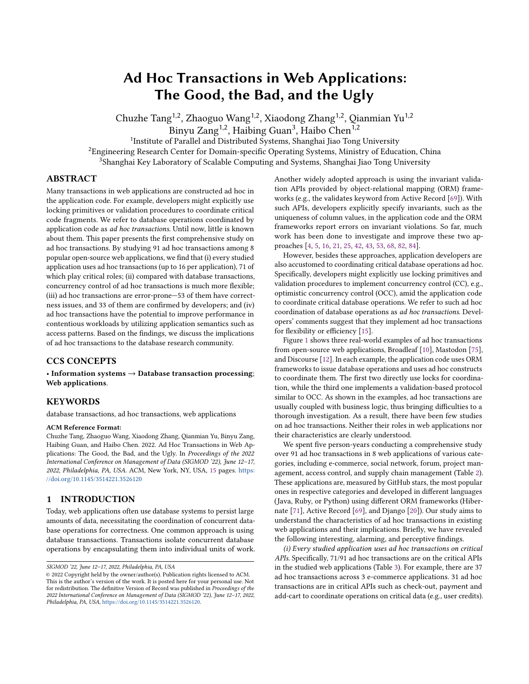# Ad Hoc Transactions in Web Applications: The Good, the Bad, and the Ugly

Chuzhe Tang1,2, Zhaoguo Wang1,2, Xiaodong Zhang1,2, Qianmian Yu1,2  $\widetilde{B}$ inyu Zang<sup>1,2</sup>, Haibing Guan<sup>3</sup>, Haibo Chen<sup>1,2</sup>

1 Institute of Parallel and Distributed Systems, Shanghai Jiao Tong University

<sup>2</sup>Engineering Research Center for Domain-specific Operating Systems, Ministry of Education, China

<sup>3</sup>Shanghai Key Laboratory of Scalable Computing and Systems, Shanghai Jiao Tong University

## ABSTRACT

Many transactions in web applications are constructed ad hoc in the application code. For example, developers might explicitly use locking primitives or validation procedures to coordinate critical code fragments. We refer to database operations coordinated by application code as ad hoc transactions. Until now, little is known about them. This paper presents the first comprehensive study on ad hoc transactions. By studying 91 ad hoc transactions among 8 popular open-source web applications, we find that (i) every studied application uses ad hoc transactions (up to 16 per application), 71 of which play critical roles; (ii) compared with database transactions, concurrency control of ad hoc transactions is much more flexible; (iii) ad hoc transactions are error-prone—53 of them have correctness issues, and 33 of them are confirmed by developers; and (iv) ad hoc transactions have the potential to improve performance in contentious workloads by utilizing application semantics such as access patterns. Based on the findings, we discuss the implications of ad hoc transactions to the database research community.

# CCS CONCEPTS

• Information systems  $\rightarrow$  Database transaction processing; Web applications.

#### KEYWORDS

database transactions, ad hoc transactions, web applications

## ACM Reference Format:

Chuzhe Tang, Zhaoguo Wang, Xiaodong Zhang, Qianmian Yu, Binyu Zang, Haibing Guan, and Haibo Chen. 2022. Ad Hoc Transactions in Web Applications: The Good, the Bad, and the Ugly. In Proceedings of the 2022 International Conference on Management of Data (SIGMOD '22), June 12–17, 2022, Philadelphia, PA, USA. ACM, New York, NY, USA, [15](#page-14-0) pages. [https:](https://doi.org/10.1145/3514221.3526120) [//doi.org/10.1145/3514221.3526120](https://doi.org/10.1145/3514221.3526120)

#### 1 INTRODUCTION

Today, web applications often use database systems to persist large amounts of data, necessitating the coordination of concurrent database operations for correctness. One common approach is using database transactions. Transactions isolate concurrent database operations by encapsulating them into individual units of work. Another widely adopted approach is using the invariant validation APIs provided by object-relational mapping (ORM) frameworks (e.g., the validates keyword from Active Record [\[69\]](#page-14-1)). With such APIs, developers explicitly specify invariants, such as the uniqueness of column values, in the application code and the ORM frameworks report errors on invariant violations. So far, much work has been done to investigate and improve these two approaches [\[4,](#page-13-0) [5,](#page-13-1) [16,](#page-13-2) [21,](#page-13-3) [25,](#page-13-4) [42,](#page-13-5) [43,](#page-13-6) [53,](#page-14-2) [68,](#page-14-3) [82,](#page-14-4) [84\]](#page-14-5).

However, besides these approaches, application developers are also accustomed to coordinating critical database operations ad hoc. Specifically, developers might explicitly use locking primitives and validation procedures to implement concurrency control (CC), e.g., optimistic concurrency control (OCC), amid the application code to coordinate critical database operations. We refer to such ad hoc coordination of database operations as ad hoc transactions. Developers' comments suggest that they implement ad hoc transactions for flexibility or efficiency [\[15\]](#page-13-7).

Figure [1](#page-1-0) shows three real-world examples of ad hoc transactions from open-source web applications, Broadleaf [\[10\]](#page-13-8), Mastodon [\[75\]](#page-14-6), and Discourse [\[12\]](#page-13-9). In each example, the application code uses ORM frameworks to issue database operations and uses ad hoc constructs to coordinate them. The first two directly use locks for coordination, while the third one implements a validation-based protocol similar to OCC. As shown in the examples, ad hoc transactions are usually coupled with business logic, thus bringing difficulties to a thorough investigation. As a result, there have been few studies on ad hoc transactions. Neither their roles in web applications nor their characteristics are clearly understood.

We spent five person-years conducting a comprehensive study over 91 ad hoc transactions in 8 web applications of various categories, including e-commerce, social network, forum, project management, access control, and supply chain management (Table [2\)](#page-2-0). These applications are, measured by GitHub stars, the most popular ones in respective categories and developed in different languages (Java, Ruby, or Python) using different ORM frameworks (Hibernate [\[71\]](#page-14-7), Active Record [\[69\]](#page-14-1), and Django [\[20\]](#page-13-10)). Our study aims to understand the characteristics of ad hoc transactions in existing web applications and their implications. Briefly, we have revealed the following interesting, alarming, and perceptive findings.

(i) Every studied application uses ad hoc transactions on critical APIs. Specifically, 71/91 ad hoc transactions are on the critical APIs in the studied web applications (Table [3\)](#page-2-1). For example, there are 37 ad hoc transactions across 3 e-commerce applications. 31 ad hoc transactions are in critical APIs such as check-out, payment and add-cart to coordinate operations on critical data (e.g., user credits).

SIGMOD '22, June 12–17, 2022, Philadelphia, PA, USA

<sup>©</sup> 2022 Copyright held by the owner/author(s). Publication rights licensed to ACM. This is the author's version of the work. It is posted here for your personal use. Not for redistribution. The definitive Version of Record was published in Proceedings of the 2022 International Conference on Management of Data (SIGMOD '22), June 12–17, 2022, Philadelphia, PA, USA, [https://doi.org/10.1145/3514221.3526120.](https://doi.org/10.1145/3514221.3526120)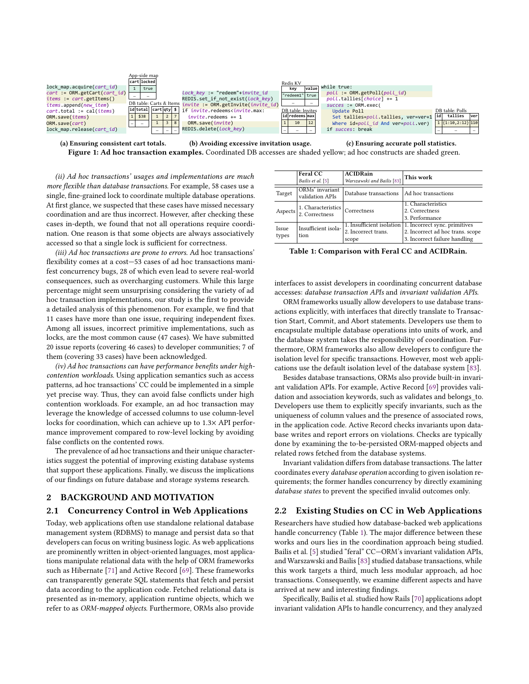<span id="page-1-0"></span>

|                                | App-side map |         |                                                                                                                                                           |                   |                                                      |                      |  |
|--------------------------------|--------------|---------|-----------------------------------------------------------------------------------------------------------------------------------------------------------|-------------------|------------------------------------------------------|----------------------|--|
|                                | cartllocked  |         |                                                                                                                                                           | Redis KV          |                                                      |                      |  |
| lock map.acquire(cart id)      | true         |         |                                                                                                                                                           | kev               | value while true:                                    |                      |  |
| $cart := ORM.getCart(cart id)$ |              |         | $Lock$ $key := "redeem" + invite id$                                                                                                                      | "redeem1" true    | $poll := ORM.getPol1(poll id)$                       |                      |  |
| $items := cart.getItems()$     |              |         | REDIS.set if not exist(Lock key)                                                                                                                          |                   | $poll.$ tallies[choice] += 1                         |                      |  |
| <i>items.append(new item)</i>  |              |         | DB table: Carts & Items invite := ORM.getInvite(invite_id) l                                                                                              |                   | $success := ORM.execute$                             |                      |  |
| $cart.$ total := $cal(i$ tems) |              |         | id total cart qty \$ if invite.redeems <invite.max:< td=""><td>DB table: Invites</td><td>Update Poll</td><td>DB table: Polls</td><td></td></invite.max:<> | DB table: Invites | Update Poll                                          | DB table: Polls      |  |
| ORM.save(items)                | L \$38       |         | $invite$ . redeems $+= 1$                                                                                                                                 | lid redeems max   | Set tallies=poll.tallies, ver=ver+1  id  tallies ver |                      |  |
| ORM.save(cart)                 |              | $3$ $8$ | ORM.save(invite)                                                                                                                                          | 10                | Where id=poll id And ver=poll.ver)                   | $1$ {1:10, 2:12} 110 |  |
| lock map.release(cart id)      |              |         | REDIS.delete(Lock key)                                                                                                                                    |                   | if succes: break                                     |                      |  |

(a) Ensuring consistent cart totals. (b) Avoiding excessive invitation usage. (c) Ensuring accurate poll statistics. Figure 1: Ad hoc transaction examples. Coordinated DB accesses are shaded yellow; ad hoc constructs are shaded green.

(ii) Ad hoc transactions' usages and implementations are much more flexible than database transactions. For example, 58 cases use a single, fine-grained lock to coordinate multiple database operations. At first glance, we suspected that these cases have missed necessary coordination and are thus incorrect. However, after checking these cases in-depth, we found that not all operations require coordination. One reason is that some objects are always associatively accessed so that a single lock is sufficient for correctness.

(iii) Ad hoc transactions are prone to errors. Ad hoc transactions' flexibility comes at a cost—53 cases of ad hoc transactions manifest concurrency bugs, 28 of which even lead to severe real-world consequences, such as overcharging customers. While this large percentage might seem unsurprising considering the variety of ad hoc transaction implementations, our study is the first to provide a detailed analysis of this phenomenon. For example, we find that 11 cases have more than one issue, requiring independent fixes. Among all issues, incorrect primitive implementations, such as locks, are the most common cause (47 cases). We have submitted 20 issue reports (covering 46 cases) to developer communities; 7 of them (covering 33 cases) have been acknowledged.

(iv) Ad hoc transactions can have performance benefits under highcontention workloads. Using application semantics such as access patterns, ad hoc transactions' CC could be implemented in a simple yet precise way. Thus, they can avoid false conflicts under high contention workloads. For example, an ad hoc transaction may leverage the knowledge of accessed columns to use column-level locks for coordination, which can achieve up to 1.3× API performance improvement compared to row-level locking by avoiding false conflicts on the contented rows.

The prevalence of ad hoc transactions and their unique characteristics suggest the potential of improving existing database systems that support these applications. Finally, we discuss the implications of our findings on future database and storage systems research.

## 2 BACKGROUND AND MOTIVATION

# 2.1 Concurrency Control in Web Applications

Today, web applications often use standalone relational database management system (RDBMS) to manage and persist data so that developers can focus on writing business logic. As web applications are prominently written in object-oriented languages, most applications manipulate relational data with the help of ORM frameworks such as Hibernate [\[71\]](#page-14-7) and Active Record [\[69\]](#page-14-1). These frameworks can transparently generate SQL statements that fetch and persist data according to the application code. Fetched relational data is presented as in-memory, application runtime objects, which we refer to as ORM-mapped objects. Furthermore, ORMs also provide

<span id="page-1-1"></span>

|                | <b>Feral CC</b>                      | <b>ACIDRain</b>                                           | This work                                                                                          |  |  |
|----------------|--------------------------------------|-----------------------------------------------------------|----------------------------------------------------------------------------------------------------|--|--|
|                | Bailis et al. [5]                    | Warszawski and Bailis [83]                                |                                                                                                    |  |  |
| Target         | ORMs' invariant<br>validation APIs   | Database transactions                                     | Ad hoc transactions                                                                                |  |  |
| Aspects        | 1. Characteristics<br>2. Correctness | Correctness                                               | 1. Characteristics<br>2. Correctness<br>3. Performance                                             |  |  |
| Issue<br>types | Insufficient isola-<br>tion          | 1. Insufficient isolation<br>2. Incorrect trans.<br>scope | 1. Incorrect sync. primitives<br>2. Incorrect ad hoc trans. scope<br>3. Incorrect failure handling |  |  |

Table 1: Comparison with Feral CC and ACIDRain.

interfaces to assist developers in coordinating concurrent database accesses: database transaction APIs and invariant validation APIs.

ORM frameworks usually allow developers to use database transactions explicitly, with interfaces that directly translate to Transaction Start, Commit, and Abort statements. Developers use them to encapsulate multiple database operations into units of work, and the database system takes the responsibility of coordination. Furthermore, ORM frameworks also allow developers to configure the isolation level for specific transactions. However, most web applications use the default isolation level of the database system [\[83\]](#page-14-8).

Besides database transactions, ORMs also provide built-in invariant validation APIs. For example, Active Record [\[69\]](#page-14-1) provides validation and association keywords, such as validates and belongs\_to. Developers use them to explicitly specify invariants, such as the uniqueness of column values and the presence of associated rows, in the application code. Active Record checks invariants upon database writes and report errors on violations. Checks are typically done by examining the to-be-persisted ORM-mapped objects and related rows fetched from the database systems.

Invariant validation differs from database transactions. The latter coordinates every database operation according to given isolation requirements; the former handles concurrency by directly examining database states to prevent the specified invalid outcomes only.

## <span id="page-1-2"></span>2.2 Existing Studies on CC in Web Applications

Researchers have studied how database-backed web applications handle concurrency (Table [1\)](#page-1-1). The major difference between these works and ours lies in the coordination approach being studied. Bailis et al. [\[5\]](#page-13-1) studied "feral" CC—ORM's invariant validation APIs, and Warszawski and Bailis [\[83\]](#page-14-8) studied database transactions, while this work targets a third, much less modular approach, ad hoc transactions. Consequently, we examine different aspects and have arrived at new and interesting findings.

Specifically, Bailis et al. studied how Rails [\[70\]](#page-14-9) applications adopt invariant validation APIs to handle concurrency, and they analyzed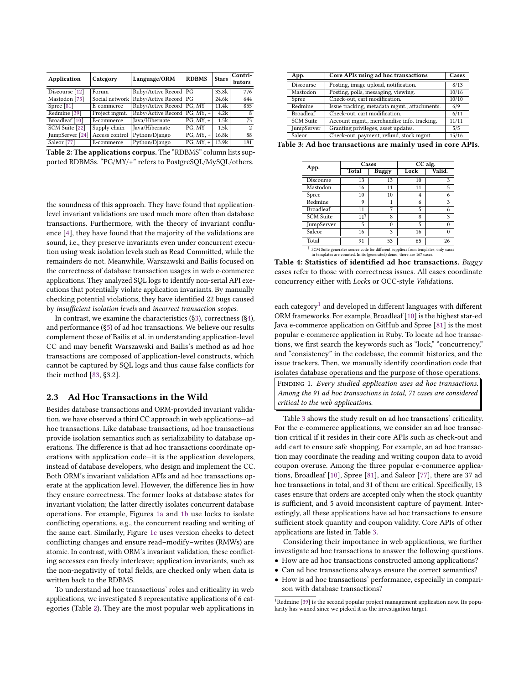<span id="page-2-0"></span>

| Application             | Category       | Language/ORM                 | <b>RDBMS</b> | <b>Stars</b> | Contri-<br>butors |
|-------------------------|----------------|------------------------------|--------------|--------------|-------------------|
| Discourse [12]          | Forum          | Ruby/Active Record   PG      |              | 33.8k        | 776               |
| Mastodon [75]           | Social network | Ruby/Active Record   PG      |              | 24.6k        | 644               |
| Spree [81]              | E-commerce     | Ruby/Active Record   PG, MY  |              | 11.4k        | 855               |
| Redmine <sup>[39]</sup> | Project mgmt.  | Ruby/Active Record PG, MY, + |              | 4.2k         | 8                 |
| Broadleaf [10]          | E-commerce     | Java/Hibernate               | $PG, MY, +$  | 1.5k         | 73                |
| SCM Suite [22]          | Supply chain   | Java/Hibernate               | PG. MY       | 1.5k         | 2                 |
| JumpServer [24]         | Access control | Python/Django                | $PG, MY, +$  | 16.8k        | 88                |
| Saleor [77]             | E-commerce     | Python/Django                | $PG. MY. +$  | 13.9k        | 181               |

Table 2: The applications corpus. The "RDBMS" column lists supported RDBMSs. "PG/MY/+" refers to PostgreSQL/MySQL/others.

the soundness of this approach. They have found that applicationlevel invariant validations are used much more often than database transactions. Furthermore, with the theory of invariant confluence [\[4\]](#page-13-0), they have found that the majority of the validations are sound, i.e., they preserve invariants even under concurrent execution using weak isolation levels such as Read Committed, while the remainders do not. Meanwhile, Warszawski and Bailis focused on the correctness of database transaction usages in web e-commerce applications. They analyzed SQL logs to identify non-serial API executions that potentially violate application invariants. By manually checking potential violations, they have identified 22 bugs caused by insufficient isolation levels and incorrect transaction scopes.

In contrast, we examine the characteristics ([§3\)](#page-3-0), correctness ([§4\)](#page-8-0), and performance ([§5\)](#page-9-0) of ad hoc transactions. We believe our results complement those of Bailis et al. in understanding application-level CC and may benefit Warszawski and Bailis's method as ad hoc transactions are composed of application-level constructs, which cannot be captured by SQL logs and thus cause false conflicts for their method [\[83,](#page-14-8) §3.2].

## 2.3 Ad Hoc Transactions in the Wild

Besides database transactions and ORM-provided invariant validation, we have observed a third CC approach in web applications—ad hoc transactions. Like database transactions, ad hoc transactions provide isolation semantics such as serializability to database operations. The difference is that ad hoc transactions coordinate operations with application code—it is the application developers, instead of database developers, who design and implement the CC. Both ORM's invariant validation APIs and ad hoc transactions operate at the application level. However, the difference lies in how they ensure correctness. The former looks at database states for invariant violation; the latter directly isolates concurrent database operations. For example, Figures [1a](#page-1-0) and [1b](#page-1-0) use locks to isolate conflicting operations, e.g., the concurrent reading and writing of the same cart. Similarly, Figure [1c](#page-1-0) uses version checks to detect conflicting changes and ensure read–modify–writes (RMWs) are atomic. In contrast, with ORM's invariant validation, these conflicting accesses can freely interleave; application invariants, such as the non-negativity of total fields, are checked only when data is written back to the RDBMS.

To understand ad hoc transactions' roles and criticality in web applications, we investigated 8 representative applications of 6 categories (Table [2\)](#page-2-0). They are the most popular web applications in

<span id="page-2-1"></span>

| App.             | Core APIs using ad hoc transactions          |       |  |
|------------------|----------------------------------------------|-------|--|
| <b>Discourse</b> | Posting, image upload, notification.         | 8/13  |  |
| Mastodon         | Posting, polls, messaging, viewing.          | 10/16 |  |
| Spree            | Check-out, cart modification.                | 10/10 |  |
| Redmine          | Issue tracking, metadata mgmt., attachments. | 6/9   |  |
| <b>Broadleaf</b> | Check-out, cart modification.                | 6/11  |  |
| <b>SCM</b> Suite | Account mgmt., merchandise info. tracking.   | 11/11 |  |
| JumpServer       | Granting privileges, asset updates.          | 5/5   |  |
| Saleor           | Check-out, payment, refund, stock mgmt.      | 15/16 |  |

Table 3: Ad hoc transactions are mainly used in core APIs.

|                                                                                                | Cases          |              | CC alg. |          |  |  |
|------------------------------------------------------------------------------------------------|----------------|--------------|---------|----------|--|--|
| App.                                                                                           | Total          | <b>Buggy</b> | Lock    | Valid.   |  |  |
| Discourse                                                                                      | 13             | 13           | 10      | 3        |  |  |
| Mastodon                                                                                       | 16             | 11           | 11      | 5        |  |  |
| Spree                                                                                          | 10             | 10           | 4       | 6        |  |  |
| Redmine                                                                                        | 9              |              | 6       | 3        |  |  |
| <b>Broadleaf</b>                                                                               | 11             | 7            | 5       | 6        |  |  |
| <b>SCM Suite</b>                                                                               | $11^{\dagger}$ | 8            | 8       | 3        |  |  |
| JumpServer                                                                                     | 5              | $\Omega$     | 5       | $\Omega$ |  |  |
| Saleor                                                                                         | 16             | 3            | 16      | 0        |  |  |
| Total                                                                                          | 91             | 53           | 65      | 26       |  |  |
| <sup>†</sup> CCM Suite concretes source and for different symplices from templates, only agone |                |              |         |          |  |  |

† SCM Suite generates source code for different suppliers from templates; only cases in templates are counted. In its (generated) demo, there are 167 cases.

Table 4: Statistics of identified ad hoc transactions. Buggy cases refer to those with correctness issues. All cases coordinate concurrency either with Locks or OCC-style Validations.

each category<sup>[1](#page-2-2)</sup> and developed in different languages with different ORM frameworks. For example, Broadleaf [\[10\]](#page-13-8) is the highest star-ed Java e-commerce application on GitHub and Spree [\[81\]](#page-14-10) is the most popular e-commerce application in Ruby. To locate ad hoc transactions, we first search the keywords such as "lock," "concurrency," and "consistency" in the codebase, the commit histories, and the issue trackers. Then, we manually identify coordination code that isolates database operations and the purpose of those operations.

FINDING 1. Every studied application uses ad hoc transactions. Among the 91 ad hoc transactions in total, 71 cases are considered critical to the web applications.

Table [3](#page-2-1) shows the study result on ad hoc transactions' criticality. For the e-commerce applications, we consider an ad hoc transaction critical if it resides in their core APIs such as check-out and add-cart to ensure safe shopping. For example, an ad hoc transaction may coordinate the reading and writing coupon data to avoid coupon overuse. Among the three popular e-commerce applications, Broadleaf [\[10\]](#page-13-8), Spree [\[81\]](#page-14-10), and Saleor [\[77\]](#page-14-11), there are 37 ad hoc transactions in total, and 31 of them are critical. Specifically, 13 cases ensure that orders are accepted only when the stock quantity is sufficient, and 5 avoid inconsistent capture of payment. Interestingly, all these applications have ad hoc transactions to ensure sufficient stock quantity and coupon validity. Core APIs of other applications are listed in Table [3.](#page-2-1)

Considering their importance in web applications, we further investigate ad hoc transactions to answer the following questions.

- How are ad hoc transactions constructed among applications?
- Can ad hoc transactions always ensure the correct semantics?
- How is ad hoc transactions' performance, especially in comparison with database transactions?

<span id="page-2-2"></span><sup>&</sup>lt;sup>1</sup>Redmine [\[39\]](#page-13-11) is the second popular project management application now. Its popularity has waned since we picked it as the investigation target.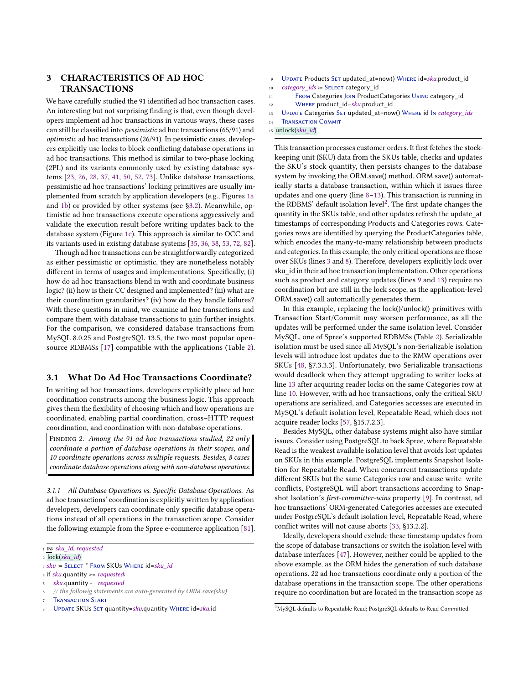# <span id="page-3-0"></span>3 CHARACTERISTICS OF AD HOC TRANSACTIONS

We have carefully studied the 91 identified ad hoc transaction cases. An interesting but not surprising finding is that, even though developers implement ad hoc transactions in various ways, these cases can still be classified into pessimistic ad hoc transactions (65/91) and optimistic ad hoc transactions (26/91). In pessimistic cases, developers explicitly use locks to block conflicting database operations in ad hoc transactions. This method is similar to two-phase locking (2PL) and its variants commonly used by existing database systems [\[23,](#page-13-14) [26,](#page-13-15) [28,](#page-13-16) [37,](#page-13-17) [41,](#page-13-18) [50,](#page-14-12) [52,](#page-14-13) [73\]](#page-14-14). Unlike database transactions, pessimistic ad hoc transactions' locking primitives are usually implemented from scratch by application developers (e.g., Figures [1a](#page-1-0) and [1b\)](#page-1-0) or provided by other systems (see [§3.2\)](#page-4-0). Meanwhile, optimistic ad hoc transactions execute operations aggressively and validate the execution result before writing updates back to the database system (Figure [1c\)](#page-1-0). This approach is similar to OCC and its variants used in existing database systems [\[35,](#page-13-19) [36,](#page-13-20) [38,](#page-13-21) [53,](#page-14-2) [72,](#page-14-15) [82\]](#page-14-4).

Though ad hoc transactions can be straightforwardly categorized as either pessimistic or optimistic, they are nonetheless notably different in terms of usages and implementations. Specifically, (i) how do ad hoc transactions blend in with and coordinate business logic? (ii) how is their CC designed and implemented? (iii) what are their coordination granularities? (iv) how do they handle failures? With these questions in mind, we examine ad hoc transactions and compare them with database transactions to gain further insights. For the comparison, we considered database transactions from MySQL 8.0.25 and PostgreSQL 13.5, the two most popular opensource RDBMSs [\[17\]](#page-13-22) compatible with the applications (Table [2\)](#page-2-0).

# <span id="page-3-3"></span>3.1 What Do Ad Hoc Transactions Coordinate?

In writing ad hoc transactions, developers explicitly place ad hoc coordination constructs among the business logic. This approach gives them the flexibility of choosing which and how operations are coordinated, enabling partial coordination, cross–HTTP request coordination, and coordination with non-database operations.

FINDING 2. Among the 91 ad hoc transactions studied, 22 only coordinate a portion of database operations in their scopes, and 10 coordinate operations across multiple requests. Besides, 8 cases coordinate database operations along with non-database operations.

<span id="page-3-1"></span>3.1.1 All Database Operations vs. Specific Database Operations. As ad hoc transactions' coordination is explicitly written by application developers, developers can coordinate only specific database operations instead of all operations in the transaction scope. Consider the following example from the Spree e-commerce application [\[81\]](#page-14-10).

- <sup>5</sup> sku.quantity -= requested
- // the followig statements are auto-generated by ORM.save(sku)
- **TRANSACTION START**
- UPDATE SKUs SET quantity=sku.quantity WHERE id=sku.id
- 9 UPDATE Products SET updated at=now() WHERE id=sku.product id 10  $category$   $ids :=$  SELECT category id
- 
- <sup>11</sup> From Categories Join ProductCategories Using category\_id 12 WHERE product\_id=sku.product\_id
- 13 UPDATE Categories SET updated\_at=now() WHERE id In category\_ids
- <sup>14</sup> Transaction Commit
- 15 unlock(sku id)

This transaction processes customer orders. It first fetches the stockkeeping unit (SKU) data from the SKUs table, checks and updates the SKU's stock quantity, then persists changes to the database system by invoking the ORM.save() method. ORM.save() automatically starts a database transaction, within which it issues three updates and one query (line [8–13\)](#page-3-1). This transaction is running in the RDBMS' default isolation level<sup>[2](#page-3-2)</sup>. The first update changes the quantity in the SKUs table, and other updates refresh the update\_at timestamps of corresponding Products and Categories rows. Categories rows are identified by querying the ProductCategories table, which encodes the many-to-many relationship between products and categories. In this example, the only critical operations are those over SKUs (lines [3](#page-3-1) and [8\)](#page-3-1). Therefore, developers explicitly lock over sku\_id in their ad hoc transaction implementation. Other operations such as product and category updates (lines [9](#page-3-1) and [13\)](#page-3-1) require no coordination but are still in the lock scope, as the application-level ORM.save() call automatically generates them.

In this example, replacing the lock()/unlock() primitives with Transaction Start/Commit may worsen performance, as all the updates will be performed under the same isolation level. Consider MySQL, one of Spree's supported RDBMSs (Table [2\)](#page-2-0). Serializable isolation must be used since all MySQL's non-Serializable isolation levels will introduce lost updates due to the RMW operations over SKUs [\[48,](#page-14-16) §7.3.3.3]. Unfortunately, two Serializable transactions would deadlock when they attempt upgrading to writer locks at line [13](#page-3-1) after acquiring reader locks on the same Categories row at line [10.](#page-3-1) However, with ad hoc transactions, only the critical SKU operations are serialized, and Categories accesses are executed in MySQL's default isolation level, Repeatable Read, which does not acquire reader locks [\[57,](#page-14-17) §15.7.2.3].

Besides MySQL, other database systems might also have similar issues. Consider using PostgreSQL to back Spree, where Repeatable Read is the weakest available isolation level that avoids lost updates on SKUs in this example. PostgreSQL implements Snapshot Isolation for Repeatable Read. When concurrent transactions update different SKUs but the same Categories row and cause write–write conflicts, PostgreSQL will abort transactions according to Snapshot Isolation's first-committer-wins property [\[9\]](#page-13-23). In contrast, ad hoc transactions' ORM-generated Categories accesses are executed under PostgreSQL's default isolation level, Repeatable Read, where conflict writes will not cause aborts [\[33,](#page-13-24) §13.2.2].

Ideally, developers should exclude these timestamp updates from the scope of database transactions or switch the isolation level with database interfaces [\[47\]](#page-14-18). However, neither could be applied to the above example, as the ORM hides the generation of such database operations. 22 ad hoc transactions coordinate only a portion of the database operations in the transaction scope. The other operations require no coordination but are located in the transaction scope as

<sup>1</sup> in: sku\_id, requested

 $2$  lock(sku\_id)

<sup>3</sup> sku := Select \* From SKUs Where id=sku\_id

<sup>4</sup> if sku.quantity >= requested:

<span id="page-3-2"></span><sup>2</sup>MySQL defaults to Repeatable Read; PostgreSQL defaults to Read Committed.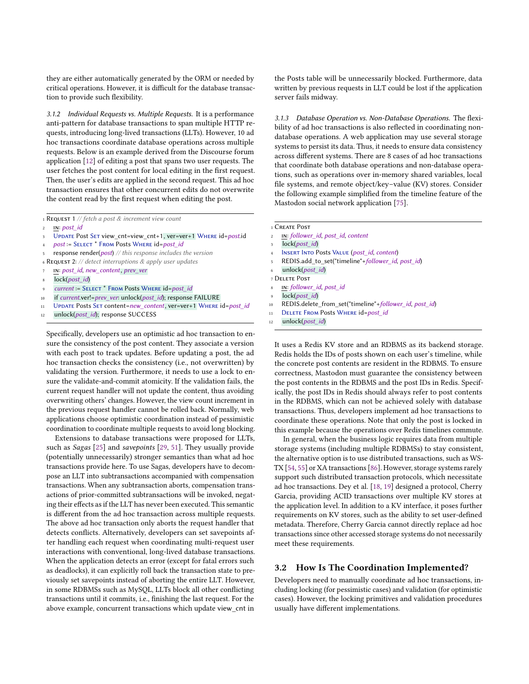they are either automatically generated by the ORM or needed by critical operations. However, it is difficult for the database transaction to provide such flexibility.

<span id="page-4-1"></span>3.1.2 Individual Requests vs. Multiple Requests. It is a performance anti-pattern for database transactions to span multiple HTTP requests, introducing long-lived transactions (LLTs). However, 10 ad hoc transactions coordinate database operations across multiple requests. Below is an example derived from the Discourse forum application [\[12\]](#page-13-9) of editing a post that spans two user requests. The user fetches the post content for local editing in the first request. Then, the user's edits are applied in the second request. This ad hoc transaction ensures that other concurrent edits do not overwrite the content read by the first request when editing the post.

- 1 REQUEST  $1$  // fetch a post & increment view count
- <sup>2</sup> in: post\_id



- post := SELECT \* FROM Posts WHERE id=post\_id
- response render(post)  $//$  this response includes the version
- <sup>6</sup> Request 2: // detect interruptions & apply user updates
- <sup>7</sup> in: post\_id, new\_content, prev\_ver
- $lock(post_id)$
- current := SELECT \* FROM Posts WHERE id=post\_id
- 10 if current.ver!=prev\_ver: unlock(post\_id); response FAILURE
- 11 UPDATE Posts SET content=new content, ver=ver+1 WHERE id=post\_id
- 12 unlock(post\_id); response SUCCESS

Specifically, developers use an optimistic ad hoc transaction to ensure the consistency of the post content. They associate a version with each post to track updates. Before updating a post, the ad hoc transaction checks the consistency (i.e., not overwritten) by validating the version. Furthermore, it needs to use a lock to ensure the validate-and-commit atomicity. If the validation fails, the current request handler will not update the content, thus avoiding overwriting others' changes. However, the view count increment in the previous request handler cannot be rolled back. Normally, web applications choose optimistic coordination instead of pessimistic coordination to coordinate multiple requests to avoid long blocking.

Extensions to database transactions were proposed for LLTs, such as Sagas [\[25\]](#page-13-4) and savepoints [\[29,](#page-13-25) [51\]](#page-14-19). They usually provide (potentially unnecessarily) stronger semantics than what ad hoc transactions provide here. To use Sagas, developers have to decompose an LLT into subtransactions accompanied with compensation transactions. When any subtransaction aborts, compensation transactions of prior-committed subtransactions will be invoked, negating their effects as if the LLT has never been executed. This semantic is different from the ad hoc transaction across multiple requests. The above ad hoc transaction only aborts the request handler that detects conflicts. Alternatively, developers can set savepoints after handling each request when coordinating multi-request user interactions with conventional, long-lived database transactions. When the application detects an error (except for fatal errors such as deadlocks), it can explicitly roll back the transaction state to previously set savepoints instead of aborting the entire LLT. However, in some RDBMSs such as MySQL, LLTs block all other conflicting transactions until it commits, i.e., finishing the last request. For the above example, concurrent transactions which update view\_cnt in

the Posts table will be unnecessarily blocked. Furthermore, data written by previous requests in LLT could be lost if the application server fails midway.

<span id="page-4-2"></span>3.1.3 Database Operation vs. Non-Database Operations. The flexibility of ad hoc transactions is also reflected in coordinating nondatabase operations. A web application may use several storage systems to persist its data. Thus, it needs to ensure data consistency across different systems. There are 8 cases of ad hoc transactions that coordinate both database operations and non-database operations, such as operations over in-memory shared variables, local file systems, and remote object/key–value (KV) stores. Consider the following example simplified from the timeline feature of the Mastodon social network application [\[75\]](#page-14-6).

- 1 CREATE POST
- <sup>2</sup> in: follower\_id, post\_id, content
- $lock(post$  id)
- INSERT INTO Posts VALUE (post\_id, content)
- REDIS.add\_to\_set("timeline"+follower\_id, post\_id)
- unlock(post\_id)
- <sup>7</sup> Delete Post
- IN: follower\_id, post\_id
- lock(post\_id)
- 
- <sup>10</sup> REDIS.delete\_from\_set("timeline"+follower\_id, post\_id) 11 DELETE FROM Posts WHERE id=post\_id
- 
- 12 unlock(post\_id)

It uses a Redis KV store and an RDBMS as its backend storage. Redis holds the IDs of posts shown on each user's timeline, while the concrete post contents are resident in the RDBMS. To ensure correctness, Mastodon must guarantee the consistency between the post contents in the RDBMS and the post IDs in Redis. Specifically, the post IDs in Redis should always refer to post contents in the RDBMS, which can not be achieved solely with database transactions. Thus, developers implement ad hoc transactions to coordinate these operations. Note that only the post is locked in this example because the operations over Redis timelines commute.

In general, when the business logic requires data from multiple storage systems (including multiple RDBMSs) to stay consistent, the alternative option is to use distributed transactions, such as WS-TX [\[54,](#page-14-20) [55\]](#page-14-21) or XA transactions [\[86\]](#page-14-22). However, storage systems rarely support such distributed transaction protocols, which necessitate ad hoc transactions. Dey et al. [\[18,](#page-13-26) [19\]](#page-13-27) designed a protocol, Cherry Garcia, providing ACID transactions over multiple KV stores at the application level. In addition to a KV interface, it poses further requirements on KV stores, such as the ability to set user-defined metadata. Therefore, Cherry Garcia cannot directly replace ad hoc transactions since other accessed storage systems do not necessarily meet these requirements.

## <span id="page-4-0"></span>3.2 How Is The Coordination Implemented?

Developers need to manually coordinate ad hoc transactions, including locking (for pessimistic cases) and validation (for optimistic cases). However, the locking primitives and validation procedures usually have different implementations.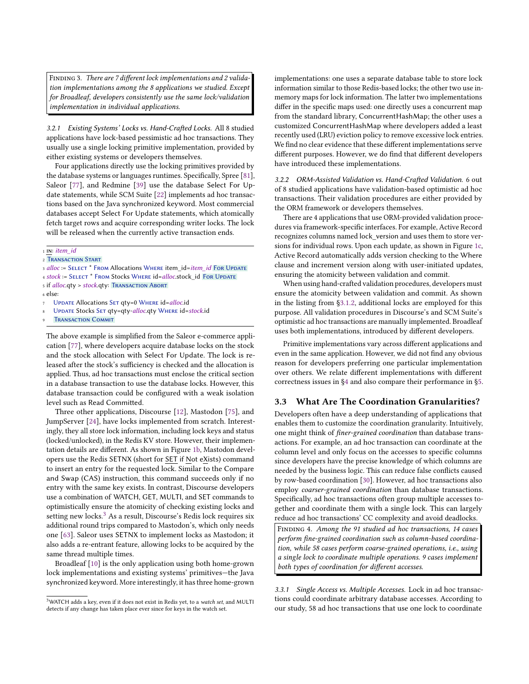FINDING 3. There are 7 different lock implementations and 2 validation implementations among the 8 applications we studied. Except for Broadleaf, developers consistently use the same lock/validation implementation in individual applications.

<span id="page-5-1"></span>3.2.1 Existing Systems' Locks vs. Hand-Crafted Locks. All 8 studied applications have lock-based pessimistic ad hoc transactions. They usually use a single locking primitive implementation, provided by either existing systems or developers themselves.

Four applications directly use the locking primitives provided by the database systems or languages runtimes. Specifically, Spree [\[81\]](#page-14-10), Saleor [\[77\]](#page-14-11), and Redmine [\[39\]](#page-13-11) use the database Select For Update statements, while SCM Suite [\[22\]](#page-13-12) implements ad hoc transactions based on the Java synchronized keyword. Most commercial databases accept Select For Update statements, which atomically fetch target rows and acquire corresponding writer locks. The lock will be released when the currently active transaction ends.

1 IN: item\_id

<sup>2</sup> Transaction Start

- 4 stock := SELECT \* FROM Stocks WHERE id=alloc.stock\_id FOR UPDATE
- 5 if alloc.qty > stock.qty: TRANSACTION ABORT
- <sup>6</sup> else:
- UPDATE Allocations SET qty=0 WHERE id=alloc.id
- UPDATE Stocks SET qty=qty-alloc.qty WHERE id=stock.id

**TRANSACTION COMMIT** 

The above example is simplified from the Saleor e-commerce application [\[77\]](#page-14-11), where developers acquire database locks on the stock and the stock allocation with Select For Update. The lock is released after the stock's sufficiency is checked and the allocation is applied. Thus, ad hoc transactions must enclose the critical section in a database transaction to use the database locks. However, this database transaction could be configured with a weak isolation level such as Read Committed.

Three other applications, Discourse [\[12\]](#page-13-9), Mastodon [\[75\]](#page-14-6), and JumpServer [\[24\]](#page-13-13), have locks implemented from scratch. Interestingly, they all store lock information, including lock keys and status (locked/unlocked), in the Redis KV store. However, their implementation details are different. As shown in Figure [1b,](#page-1-0) Mastodon developers use the Redis SETNX (short for SET if Not eXists) command to insert an entry for the requested lock. Similar to the Compare and Swap (CAS) instruction, this command succeeds only if no entry with the same key exists. In contrast, Discourse developers use a combination of WATCH, GET, MULTI, and SET commands to optimistically ensure the atomicity of checking existing locks and setting new locks.<sup>[3](#page-5-0)</sup> As a result, Discourse's Redis lock requires six additional round trips compared to Mastodon's, which only needs one [\[63\]](#page-14-23). Saleor uses SETNX to implement locks as Mastodon; it also adds a re-entrant feature, allowing locks to be acquired by the same thread multiple times.

Broadleaf [\[10\]](#page-13-8) is the only application using both home-grown lock implementations and existing systems' primitives—the Java synchronized keyword. More interestingly, it has three home-grown implementations: one uses a separate database table to store lock information similar to those Redis-based locks; the other two use inmemory maps for lock information. The latter two implementations differ in the specific maps used: one directly uses a concurrent map from the standard library, ConcurrentHashMap; the other uses a customized ConcurrentHashMap where developers added a least recently used (LRU) eviction policy to remove excessive lock entries. We find no clear evidence that these different implementations serve different purposes. However, we do find that different developers have introduced these implementations.

3.2.2 ORM-Assisted Validation vs. Hand-Crafted Validation. 6 out of 8 studied applications have validation-based optimistic ad hoc transactions. Their validation procedures are either provided by the ORM framework or developers themselves.

There are 4 applications that use ORM-provided validation procedures via framework-specific interfaces. For example, Active Record recognizes columns named lock\_version and uses them to store versions for individual rows. Upon each update, as shown in Figure [1c,](#page-1-0) Active Record automatically adds version checking to the Where clause and increment version along with user-initiated updates, ensuring the atomicity between validation and commit.

When using hand-crafted validation procedures, developers must ensure the atomicity between validation and commit. As shown in the listing from [§3.1.2,](#page-4-1) additional locks are employed for this purpose. All validation procedures in Discourse's and SCM Suite's optimistic ad hoc transactions are manually implemented. Broadleaf uses both implementations, introduced by different developers.

Primitive implementations vary across different applications and even in the same application. However, we did not find any obvious reason for developers preferring one particular implementation over others. We relate different implementations with different correctness issues in [§4](#page-8-0) and also compare their performance in [§5.](#page-9-0)

#### <span id="page-5-2"></span>3.3 What Are The Coordination Granularities?

Developers often have a deep understanding of applications that enables them to customize the coordination granularity. Intuitively, one might think of finer-grained coordination than database transactions. For example, an ad hoc transaction can coordinate at the column level and only focus on the accesses to specific columns since developers have the precise knowledge of which columns are needed by the business logic. This can reduce false conflicts caused by row-based coordination [\[30\]](#page-13-28). However, ad hoc transactions also employ coarser-grained coordination than database transactions. Specifically, ad hoc transactions often group multiple accesses together and coordinate them with a single lock. This can largely reduce ad hoc transactions' CC complexity and avoid deadlocks.

FINDING 4. Among the 91 studied ad hoc transactions, 14 cases perform fine-grained coordination such as column-based coordination, while 58 cases perform coarse-grained operations, i.e., using a single lock to coordinate multiple operations. 9 cases implement both types of coordination for different accesses.

<span id="page-5-3"></span>3.3.1 Single Access vs. Multiple Accesses. Lock in ad hoc transactions could coordinate arbitrary database accesses. According to our study, 58 ad hoc transactions that use one lock to coordinate

<sup>3</sup> alloc := SELECT \* FROM Allocations WHERE item id=item id FOR UPDATE

<span id="page-5-0"></span><sup>&</sup>lt;sup>3</sup>WATCH adds a key, even if it does not exist in Redis yet, to a watch set, and MULTI detects if any change has taken place ever since for keys in the watch set.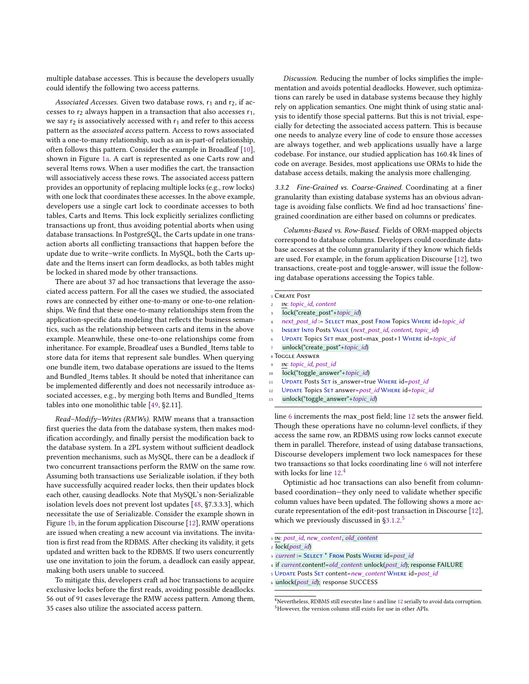multiple database accesses. This is because the developers usually could identify the following two access patterns.

Associated Accesses. Given two database rows,  $r_1$  and  $r_2$ , if accesses to  $r_2$  always happen in a transaction that also accesses  $r_1$ , we say  $r_2$  is associatively accessed with  $r_1$  and refer to this access pattern as the associated access pattern. Access to rows associated with a one-to-many relationship, such as an is-part-of relationship, often follows this pattern. Consider the example in Broadleaf [\[10\]](#page-13-8), shown in Figure [1a.](#page-1-0) A cart is represented as one Carts row and several Items rows. When a user modifies the cart, the transaction will associatively access these rows. The associated access pattern provides an opportunity of replacing multiple locks (e.g., row locks) with one lock that coordinates these accesses. In the above example, developers use a single cart lock to coordinate accesses to both tables, Carts and Items. This lock explicitly serializes conflicting transactions up front, thus avoiding potential aborts when using database transactions. In PostgreSQL, the Carts update in one transaction aborts all conflicting transactions that happen before the update due to write–write conflicts. In MySQL, both the Carts update and the Items insert can form deadlocks, as both tables might be locked in shared mode by other transactions.

There are about 37 ad hoc transactions that leverage the associated access pattern. For all the cases we studied, the associated rows are connected by either one-to-many or one-to-one relationships. We find that these one-to-many relationships stem from the application-specific data modeling that reflects the business semantics, such as the relationship between carts and items in the above example. Meanwhile, these one-to-one relationships come from inheritance. For example, Broadleaf uses a Bundled\_Items table to store data for items that represent sale bundles. When querying one bundle item, two database operations are issued to the Items and Bundled\_Items tables. It should be noted that inheritance can be implemented differently and does not necessarily introduce associated accesses, e.g., by merging both Items and Bundled\_Items tables into one monolithic table [\[49,](#page-14-24) §2.11].

Read–Modify–Writes (RMWs). RMW means that a transaction first queries the data from the database system, then makes modification accordingly, and finally persist the modification back to the database system. In a 2PL system without sufficient deadlock prevention mechanisms, such as MySQL, there can be a deadlock if two concurrent transactions perform the RMW on the same row. Assuming both transactions use Serializable isolation, if they both have successfully acquired reader locks, then their updates block each other, causing deadlocks. Note that MySQL's non-Serializable isolation levels does not prevent lost updates [\[48,](#page-14-16) §7.3.3.3], which necessitate the use of Serializable. Consider the example shown in Figure [1b,](#page-1-0) in the forum application Discourse [\[12\]](#page-13-9), RMW operations are issued when creating a new account via invitations. The invitation is first read from the RDBMS. After checking its validity, it gets updated and written back to the RDBMS. If two users concurrently use one invitation to join the forum, a deadlock can easily appear, making both users unable to succeed.

To mitigate this, developers craft ad hoc transactions to acquire exclusive locks before the first reads, avoiding possible deadlocks. 56 out of 91 cases leverage the RMW access pattern. Among them, 35 cases also utilize the associated access pattern.

Discussion. Reducing the number of locks simplifies the implementation and avoids potential deadlocks. However, such optimizations can rarely be used in database systems because they highly rely on application semantics. One might think of using static analysis to identify those special patterns. But this is not trivial, especially for detecting the associated access pattern. This is because one needs to analyze every line of code to ensure those accesses are always together, and web applications usually have a large codebase. For instance, our studied application has 160.4 k lines of code on average. Besides, most applications use ORMs to hide the database access details, making the analysis more challenging.

<span id="page-6-3"></span>3.3.2 Fine-Grained vs. Coarse-Grained. Coordinating at a finer granularity than existing database systems has an obvious advantage is avoiding false conflicts. We find ad hoc transactions' finegrained coordination are either based on columns or predicates.

<span id="page-6-0"></span>Columns-Based vs. Row-Based. Fields of ORM-mapped objects correspond to database columns. Developers could coordinate database accesses at the column granularity if they know which fields are used. For example, in the forum application Discourse [\[12\]](#page-13-9), two transactions, create-post and toggle-answer, will issue the following database operations accessing the Topics table.

#### 1 CREATE POST

- IN: topic\_id, content
- $lock("create post" + topic id)$
- next\_post\_id := SELECT max\_post FROM Topics WHERE id=topic\_id
- INSERT INTO Posts VALUE (next\_post\_id, content, topic\_id)
- UPDATE Topics SET max\_post=max\_post+1 WHERE id=topic\_id
- unlock("create\_post"+topic\_id)
- <sup>8</sup> Toggle Answer
- <sup>9</sup> in: topic\_id, post\_id
- <sup>10</sup> lock("toggle\_answer"+topic\_id)
- 11 UPDATE Posts SET is\_answer=true WHERE id=post\_id
- 12 UPDATE Topics SET answer=post\_id WHERE id=topic\_id
- <sup>13</sup> unlock("toggle\_answer"+topic\_id)

line [6](#page-6-0) increments the max\_post field; line [12](#page-6-0) sets the answer field. Though these operations have no column-level conflicts, if they access the same row, an RDBMS using row locks cannot execute them in parallel. Therefore, instead of using database transactions, Discourse developers implement two lock namespaces for these two transactions so that locks coordinating line [6](#page-6-0) will not interfere with locks for line [12.](#page-6-0)<sup>[4](#page-6-1)</sup>

Optimistic ad hoc transactions can also benefit from columnbased coordination—they only need to validate whether specific column values have been updated. The following shows a more accurate representation of the edit-post transaction in Discourse [\[12\]](#page-13-9), which we previously discussed in [§3.1.2.](#page-4-1)<sup>[5](#page-6-2)</sup>

- <sup>1</sup> in: post\_id, new\_content, old\_content
- 2 lock(post\_id)
- 3 current := SELECT \* FROM Posts WHERE id=post\_id
- 4 if current.content!=old\_content: unlock(post\_id); response FAILURE
- <sup>5</sup> Update Posts Set content=new\_content Where id=post\_id
- 6 unlock(post\_id); response SUCCESS

<span id="page-6-2"></span><span id="page-6-1"></span><sup>&</sup>lt;sup>4</sup>Nevertheless, RDBMS still executes line [6](#page-6-0) and line [12](#page-6-0) serially to avoid data corruption. <sup>5</sup>However, the version column still exists for use in other APIs.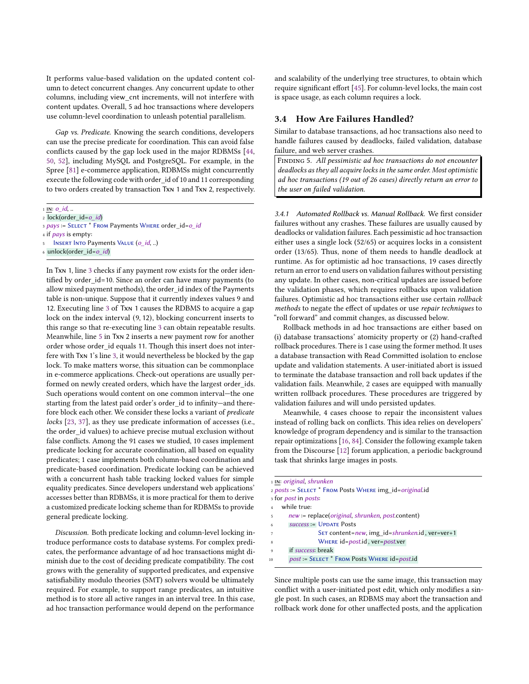It performs value-based validation on the updated content column to detect concurrent changes. Any concurrent update to other columns, including view\_cnt increments, will not interfere with content updates. Overall, 5 ad hoc transactions where developers use column-level coordination to unleash potential parallelism.

<span id="page-7-0"></span>Gap vs. Predicate. Knowing the search conditions, developers can use the precise predicate for coordination. This can avoid false conflicts caused by the gap lock used in the major RDBMSs [\[44,](#page-14-25) [50,](#page-14-12) [52\]](#page-14-13), including MySQL and PostgreSQL. For example, in the Spree [\[81\]](#page-14-10) e-commerce application, RDBMSs might concurrently execute the following code with order\_id of 10 and 11 corresponding to two orders created by transaction Txn 1 and Txn 2, respectively.

<sup>4</sup> if pays is empty:

<sup>6</sup> unlock(order\_id=o\_id)

In Txn 1, line [3](#page-7-0) checks if any payment row exists for the order identified by order\_id=10. Since an order can have many payments (to allow mixed payment methods), the order\_id index of the Payments table is non-unique. Suppose that it currently indexes values 9 and 12. Executing line [3](#page-7-0) of Txn 1 causes the RDBMS to acquire a gap lock on the index interval (9, 12), blocking concurrent inserts to this range so that re-executing line [3](#page-7-0) can obtain repeatable results. Meanwhile, line [5](#page-7-0) in Txn 2 inserts a new payment row for another order whose order\_id equals 11. Though this insert does not interfere with Txn 1's line [3,](#page-7-0) it would nevertheless be blocked by the gap lock. To make matters worse, this situation can be commonplace in e-commerce applications. Check-out operations are usually performed on newly created orders, which have the largest order\_ids. Such operations would content on one common interval—the one starting from the latest paid order's order\_id to infinity—and therefore block each other. We consider these locks a variant of predicate locks [\[23,](#page-13-14) [37\]](#page-13-17), as they use predicate information of accesses (i.e., the order\_id values) to achieve precise mutual exclusion without false conflicts. Among the 91 cases we studied, 10 cases implement predicate locking for accurate coordination, all based on equality predicates; 1 case implements both column-based coordination and predicate-based coordination. Predicate locking can be achieved with a concurrent hash table tracking locked values for simple equality predicates. Since developers understand web applications' accesses better than RDBMSs, it is more practical for them to derive a customized predicate locking scheme than for RDBMSs to provide general predicate locking.

Discussion. Both predicate locking and column-level locking introduce performance costs to database systems. For complex predicates, the performance advantage of ad hoc transactions might diminish due to the cost of deciding predicate compatibility. The cost grows with the generality of supported predicates, and expensive satisfiability modulo theories (SMT) solvers would be ultimately required. For example, to support range predicates, an intuitive method is to store all active ranges in an interval tree. In this case, ad hoc transaction performance would depend on the performance

and scalability of the underlying tree structures, to obtain which require significant effort [\[45\]](#page-14-26). For column-level locks, the main cost is space usage, as each column requires a lock.

# 3.4 How Are Failures Handled?

Similar to database transactions, ad hoc transactions also need to handle failures caused by deadlocks, failed validation, database failure, and web server crashes.

FINDING 5. All pessimistic ad hoc transactions do not encounter deadlocks as they all acquire locks in the same order. Most optimistic ad hoc transactions (19 out of 26 cases) directly return an error to the user on failed validation.

<span id="page-7-1"></span>3.4.1 Automated Rollback vs. Manual Rollback. We first consider failures without any crashes. These failures are usually caused by deadlocks or validation failures. Each pessimistic ad hoc transaction either uses a single lock (52/65) or acquires locks in a consistent order (13/65). Thus, none of them needs to handle deadlock at runtime. As for optimistic ad hoc transactions, 19 cases directly return an error to end users on validation failures without persisting any update. In other cases, non-critical updates are issued before the validation phases, which requires rollbacks upon validation failures. Optimistic ad hoc transactions either use certain rollback methods to negate the effect of updates or use repair techniques to "roll forward" and commit changes, as discussed below.

Rollback methods in ad hoc transactions are either based on (i) database transactions' atomicity property or (2) hand-crafted rollback procedures. There is 1 case using the former method. It uses a database transaction with Read Committed isolation to enclose update and validation statements. A user-initiated abort is issued to terminate the database transaction and roll back updates if the validation fails. Meanwhile, 2 cases are equipped with manually written rollback procedures. These procedures are triggered by validation failures and will undo persisted updates.

Meanwhile, 4 cases choose to repair the inconsistent values instead of rolling back on conflicts. This idea relies on developers' knowledge of program dependency and is similar to the transaction repair optimizations [\[16,](#page-13-2) [84\]](#page-14-5). Consider the following example taken from the Discourse [\[12\]](#page-13-9) forum application, a periodic background task that shrinks large images in posts.

- new := replace(original, shrunken, post.content)
- <sup>6</sup> success := Update Posts
	- SET content=new, img\_id=shrunken.id, ver=ver+1
- 8 WHERE id=post.id, ver=post.ver
- <sup>9</sup> if success: break
- 10 post := SELECT \* FROM Posts WHERE id=post.id

Since multiple posts can use the same image, this transaction may conflict with a user-initiated post edit, which only modifies a single post. In such cases, an RDBMS may abort the transaction and rollback work done for other unaffected posts, and the application

 $1 \text{ IN: } o\_id$ , ...

 $2$  lock(order\_id= $o_id$ )

 $3$  pays := SELECT \* FROM Payments WHERE order  $id=0$  id

<sup>5</sup> INSERT INTO Payments VALUE (o\_id, ..)

<sup>1</sup> IN: original, shrunken

<sup>2</sup> posts := SELECT \* FROM Posts WHERE img\_id=original.id

<sup>3</sup> for *post* in *posts*:

<sup>4</sup> while true: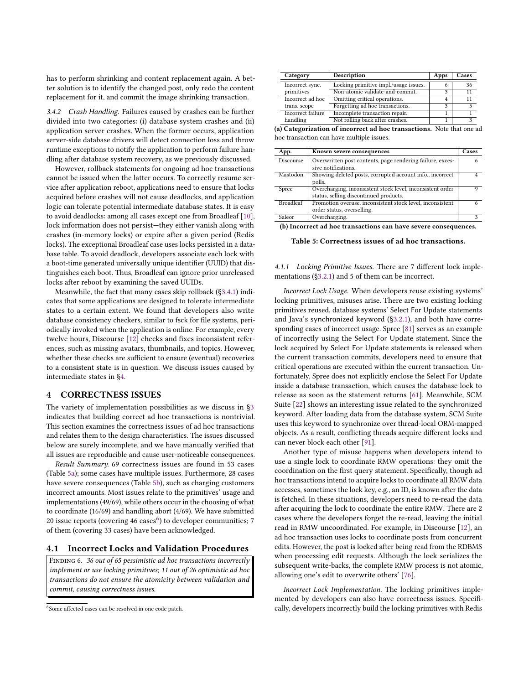has to perform shrinking and content replacement again. A better solution is to identify the changed post, only redo the content replacement for it, and commit the image shrinking transaction.

3.4.2 Crash Handling. Failures caused by crashes can be further divided into two categories: (i) database system crashes and (ii) application server crashes. When the former occurs, application server-side database drivers will detect connection loss and throw runtime exceptions to notify the application to perform failure handling after database system recovery, as we previously discussed.

However, rollback statements for ongoing ad hoc transactions cannot be issued when the latter occurs. To correctly resume service after application reboot, applications need to ensure that locks acquired before crashes will not cause deadlocks, and application logic can tolerate potential intermediate database states. It is easy to avoid deadlocks: among all cases except one from Broadleaf [\[10\]](#page-13-8), lock information does not persist—they either vanish along with crashes (in-memory locks) or expire after a given period (Redis locks). The exceptional Broadleaf case uses locks persisted in a database table. To avoid deadlock, developers associate each lock with a boot-time generated universally unique identifier (UUID) that distinguishes each boot. Thus, Broadleaf can ignore prior unreleased locks after reboot by examining the saved UUIDs.

Meanwhile, the fact that many cases skip rollback ([§3.4.1\)](#page-7-1) indicates that some applications are designed to tolerate intermediate states to a certain extent. We found that developers also write database consistency checkers, similar to fsck for file systems, periodically invoked when the application is online. For example, every twelve hours, Discourse [\[12\]](#page-13-9) checks and fixes inconsistent references, such as missing avatars, thumbnails, and topics. However, whether these checks are sufficient to ensure (eventual) recoveries to a consistent state is in question. We discuss issues caused by intermediate states in [§4.](#page-8-0)

# <span id="page-8-0"></span>4 CORRECTNESS ISSUES

The variety of implementation possibilities as we discuss in [§3](#page-3-0) indicates that building correct ad hoc transactions is nontrivial. This section examines the correctness issues of ad hoc transactions and relates them to the design characteristics. The issues discussed below are surely incomplete, and we have manually verified that all issues are reproducible and cause user-noticeable consequences.

Result Summary. 69 correctness issues are found in 53 cases (Table [5a\)](#page-8-1); some cases have multiple issues. Furthermore, 28 cases have severe consequences (Table [5b\)](#page-8-1), such as charging customers incorrect amounts. Most issues relate to the primitives' usage and implementations (49/69), while others occur in the choosing of what to coordinate (16/69) and handling abort (4/69). We have submitted  $\frac{1}{20}$  issue reports (covering 4[6](#page-8-2) cases<sup>6</sup>) to developer communities: 7 of them (covering 33 cases) have been acknowledged.

#### 4.1 Incorrect Locks and Validation Procedures

FINDING 6. 36 out of 65 pessimistic ad hoc transactions incorrectly implement or use locking primitives; 11 out of 26 optimistic ad hoc transactions do not ensure the atomicity between validation and commit, causing correctness issues.

<span id="page-8-1"></span>

| Category          | Description                           | Apps | Cases          |
|-------------------|---------------------------------------|------|----------------|
| Incorrect sync.   | Locking primitive impl./usage issues. |      | 36             |
| primitives        | Non-atomic validate-and-commit.       | २    | 11             |
| Incorrect ad hoc  | Omitting critical operations.         |      | 11             |
| trans. scope      | Forgetting ad hoc transactions.       | २    | $\overline{5}$ |
| Incorrect failure | Incomplete transaction repair.        |      |                |
| handling          | Not rolling back after crashes.       |      | s              |

(a) Categorization of incorrect ad hoc transactions. Note that one ad hoc transaction can have multiple issues.

| App.             | Known severe consequences                                                                            | Cases    |  |  |  |
|------------------|------------------------------------------------------------------------------------------------------|----------|--|--|--|
| Discourse        | Overwritten post contents, page rendering failure, exces-<br>sive notifications.                     |          |  |  |  |
| Mastodon         | Showing deleted posts, corrupted account info., incorrect<br>polls.                                  |          |  |  |  |
| Spree            | Overcharging, inconsistent stock level, inconsistent order<br>status, selling discontinued products. | $\Omega$ |  |  |  |
| <b>Broadleaf</b> | Promotion overuse, inconsistent stock level, inconsistent<br>order status, overselling.              |          |  |  |  |
| Saleor           | Overcharging.                                                                                        | З        |  |  |  |
|                  |                                                                                                      |          |  |  |  |

(b) Incorrect ad hoc transactions can have severe consequences.

Table 5: Correctness issues of ad hoc transactions.

<span id="page-8-3"></span>4.1.1 Locking Primitive Issues. There are 7 different lock implementations ([§3.2.1\)](#page-5-1) and 5 of them can be incorrect.

Incorrect Lock Usage. When developers reuse existing systems' locking primitives, misuses arise. There are two existing locking primitives reused, database systems' Select For Update statements and Java's synchronized keyword ([§3.2.1\)](#page-5-1), and both have corresponding cases of incorrect usage. Spree [\[81\]](#page-14-10) serves as an example of incorrectly using the Select For Update statement. Since the lock acquired by Select For Update statements is released when the current transaction commits, developers need to ensure that critical operations are executed within the current transaction. Unfortunately, Spree does not explicitly enclose the Select For Update inside a database transaction, which causes the database lock to release as soon as the statement returns [\[61\]](#page-14-27). Meanwhile, SCM Suite [\[22\]](#page-13-12) shows an interesting issue related to the synchronized keyword. After loading data from the database system, SCM Suite uses this keyword to synchronize over thread-local ORM-mapped objects. As a result, conflicting threads acquire different locks and can never block each other [\[91\]](#page-14-28).

Another type of misuse happens when developers intend to use a single lock to coordinate RMW operations: they omit the coordination on the first query statement. Specifically, though ad hoc transactions intend to acquire locks to coordinate all RMW data accesses, sometimes the lock key, e.g., an ID, is known after the data is fetched. In these situations, developers need to re-read the data after acquiring the lock to coordinate the entire RMW. There are 2 cases where the developers forget the re-read, leaving the initial read in RMW uncoordinated. For example, in Discourse [\[12\]](#page-13-9), an ad hoc transaction uses locks to coordinate posts from concurrent edits. However, the post is locked after being read from the RDBMS when processing edit requests. Although the lock serializes the subsequent write-backs, the complete RMW process is not atomic, allowing one's edit to overwrite others' [\[76\]](#page-14-29).

Incorrect Lock Implementation. The locking primitives implemented by developers can also have correctness issues. Specifically, developers incorrectly build the locking primitives with Redis

<span id="page-8-2"></span> $^6$ Some affected cases can be resolved in one code patch.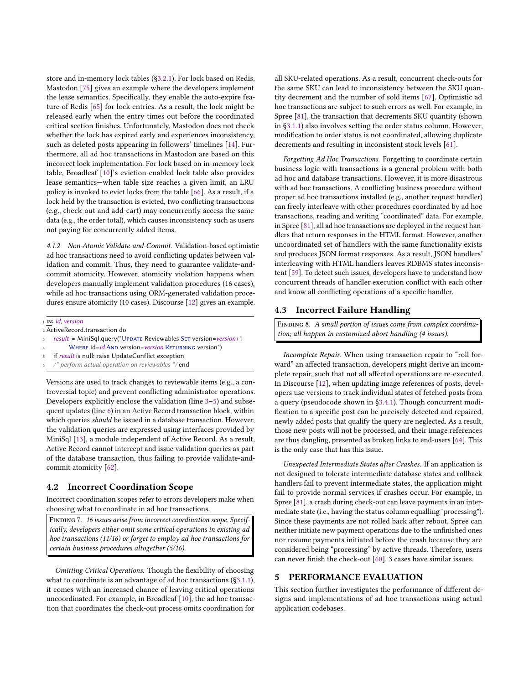store and in-memory lock tables ([§3.2.1\)](#page-5-1). For lock based on Redis, Mastodon [\[75\]](#page-14-6) gives an example where the developers implement the lease semantics. Specifically, they enable the auto-expire feature of Redis [\[65\]](#page-14-30) for lock entries. As a result, the lock might be released early when the entry times out before the coordinated critical section finishes. Unfortunately, Mastodon does not check whether the lock has expired early and experiences inconsistency, such as deleted posts appearing in followers' timelines [\[14\]](#page-13-29). Furthermore, all ad hoc transactions in Mastodon are based on this incorrect lock implementation. For lock based on in-memory lock table, Broadleaf [\[10\]](#page-13-8)'s eviction-enabled lock table also provides lease semantics—when table size reaches a given limit, an LRU policy is invoked to evict locks from the table [\[66\]](#page-14-31). As a result, if a lock held by the transaction is evicted, two conflicting transactions (e.g., check-out and add-cart) may concurrently access the same data (e.g., the order total), which causes inconsistency such as users not paying for concurrently added items.

<span id="page-9-1"></span>4.1.2 Non-Atomic Validate-and-Commit. Validation-based optimistic ad hoc transactions need to avoid conflicting updates between validation and commit. Thus, they need to guarantee validate-andcommit atomicity. However, atomicity violation happens when developers manually implement validation procedures (16 cases), while ad hoc transactions using ORM-generated validation procedures ensure atomicity (10 cases). Discourse [\[12\]](#page-13-9) gives an example.

<sup>1</sup> in: id, version

- <sup>2</sup> ActiveRecord.transaction do
- result := MiniSql.query("Uppate Reviewables SET version=version+1
- WHERE id=id AND version=version RETURNING version")
- if result is null: raise UpdateConflict exception
- $\alpha^*$  perform actual operation on reviewables  $*$ /end

Versions are used to track changes to reviewable items (e.g., a controversial topic) and prevent conflicting administrator operations. Developers explicitly enclose the validation (line [3–5\)](#page-9-1) and subsequent updates (line [6\)](#page-9-1) in an Active Record transaction block, within which queries should be issued in a database transaction. However, the validation queries are expressed using interfaces provided by MiniSql [\[13\]](#page-13-30), a module independent of Active Record. As a result, Active Record cannot intercept and issue validation queries as part of the database transaction, thus failing to provide validate-andcommit atomicity [\[62\]](#page-14-32).

#### 4.2 Incorrect Coordination Scope

Incorrect coordination scopes refer to errors developers make when choosing what to coordinate in ad hoc transactions.

Finding 7. 16 issues arise from incorrect coordination scope. Specifically, developers either omit some critical operations in existing ad hoc transactions (11/16) or forget to employ ad hoc transactions for certain business procedures altogether (5/16).

Omitting Critical Operations. Though the flexibility of choosing what to coordinate is an advantage of ad hoc transactions ([§3.1.1\)](#page-3-1), it comes with an increased chance of leaving critical operations uncoordinated. For example, in Broadleaf [\[10\]](#page-13-8), the ad hoc transaction that coordinates the check-out process omits coordination for

all SKU-related operations. As a result, concurrent check-outs for the same SKU can lead to inconsistency between the SKU quantity decrement and the number of sold items [\[67\]](#page-14-33). Optimistic ad hoc transactions are subject to such errors as well. For example, in Spree [\[81\]](#page-14-10), the transaction that decrements SKU quantity (shown in [§3.1.1\)](#page-3-1) also involves setting the order status column. However, modification to order status is not coordinated, allowing duplicate decrements and resulting in inconsistent stock levels [\[61\]](#page-14-27).

Forgetting Ad Hoc Transactions. Forgetting to coordinate certain business logic with transactions is a general problem with both ad hoc and database transactions. However, it is more disastrous with ad hoc transactions. A conflicting business procedure without proper ad hoc transactions installed (e.g., another request handler) can freely interleave with other procedures coordinated by ad hoc transactions, reading and writing "coordinated" data. For example, in Spree [\[81\]](#page-14-10), all ad hoc transactions are deployed in the request handlers that return responses in the HTML format. However, another uncoordinated set of handlers with the same functionality exists and produces JSON format responses. As a result, JSON handlers' interleaving with HTML handlers leaves RDBMS states inconsistent [\[59\]](#page-14-34). To detect such issues, developers have to understand how concurrent threads of handler execution conflict with each other and know all conflicting operations of a specific handler.

## <span id="page-9-2"></span>4.3 Incorrect Failure Handling

FINDING 8. A small portion of issues come from complex coordination; all happen in customized abort handling (4 issues).

Incomplete Repair. When using transaction repair to "roll forward" an affected transaction, developers might derive an incomplete repair, such that not all affected operations are re-executed. In Discourse [\[12\]](#page-13-9), when updating image references of posts, developers use versions to track individual states of fetched posts from a query (pseudocode shown in [§3.4.1\)](#page-7-1). Though concurrent modification to a specific post can be precisely detected and repaired, newly added posts that qualify the query are neglected. As a result, those new posts will not be processed, and their image references are thus dangling, presented as broken links to end-users [\[64\]](#page-14-35). This is the only case that has this issue.

Unexpected Intermediate States after Crashes. If an application is not designed to tolerate intermediate database states and rollback handlers fail to prevent intermediate states, the application might fail to provide normal services if crashes occur. For example, in Spree [\[81\]](#page-14-10), a crash during check-out can leave payments in an intermediate state (i.e., having the status column equalling "processing"). Since these payments are not rolled back after reboot, Spree can neither initiate new payment operations due to the unfinished ones nor resume payments initiated before the crash because they are considered being "processing" by active threads. Therefore, users can never finish the check-out [\[60\]](#page-14-36). 3 cases have similar issues.

# <span id="page-9-0"></span>5 PERFORMANCE EVALUATION

This section further investigates the performance of different designs and implementations of ad hoc transactions using actual application codebases.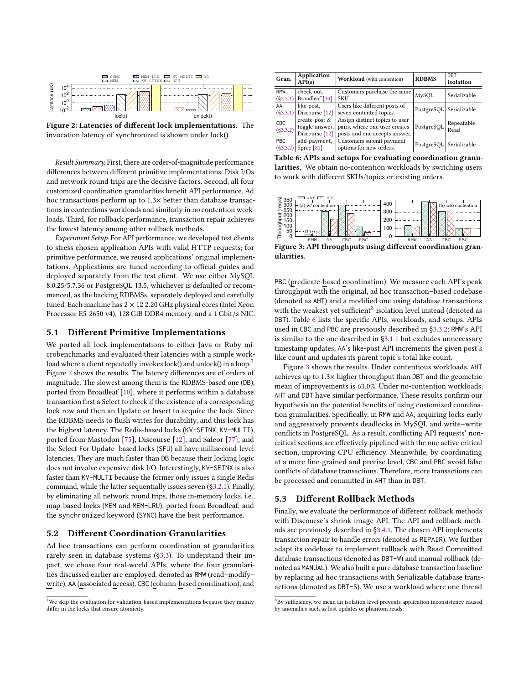<span id="page-10-1"></span>

Figure 2: Latencies of different lock implementations. The invocation latency of synchronized is shown under lock().

Result Summary. First, there are order-of-magnitude performance differences between different primitive implementations. Disk I/Os and network round trips are the decisive factors. Second, all four customized coordination granularities benefit API performance. Ad hoc transactions perform up to 1.3× better than database transactions in contentious workloads and similarly in no contention workloads. Third, for rollback performance, transaction repair achieves the lowest latency among other rollback methods.

Experiment Setup. For API performance, we developed test clients to stress chosen application APIs with valid HTTP requests; for primitive performance, we reused applications' original implementations. Applications are tuned according to official guides and deployed separately from the test client. We use either MySQL 8.0.25/5.7.36 or PostgreSQL 13.5, whichever is defaulted or recommenced, as the backing RDBMSs, separately deployed and carefully tuned. Each machine has  $2 \times 12$  2.20 GHz physical cores (Intel Xeon Processor E5-2650 v4), 128 GiB DDR4 memory, and a 1 Gbit/s NIC.

## 5.1 Different Primitive Implementations

We ported all lock implementations to either Java or Ruby microbenchmarks and evaluated their latencies with a simple work-load where a client repeatedly invokes lock() and unlock() in a loop.<sup>[7](#page-10-0)</sup> Figure [2](#page-10-1) shows the results. The latency differences are of orders of magnitude. The slowest among them is the RDBMS-based one (DB), ported from Broadleaf [\[10\]](#page-13-8), where it performs within a database transaction first a Select to check if the existence of a corresponding lock row and then an Update or Insert to acquire the lock. Since the RDBMS needs to flush writes for durability, and this lock has the highest latency. The Redis-based locks (KV-SETNX, KV-MULTI), ported from Mastodon [\[75\]](#page-14-6), Discourse [\[12\]](#page-13-9), and Saleor [\[77\]](#page-14-11), and the Select For Update–based locks (SFU) all have millisecond-level latencies. They are much faster than DB because their locking logic does not involve expensive disk I/O. Interestingly, KV-SETNX is also faster than KV-MULTI because the former only issues a single Redis command, while the latter sequentially issues seven ([§3.2.1\)](#page-5-1). Finally, by eliminating all network round trips, those in-memory locks, i.e., map-based locks (MEM and MEM-LRU), ported from Broadleaf, and the synchronized keyword (SYNC) have the best performance.

## 5.2 Different Coordination Granularities

Ad hoc transactions can perform coordination at granularities rarely seen in database systems ([§3.3\)](#page-5-2). To understand their impact, we chose four real-world APIs, where the four granularities discussed earlier are employed, denoted as RMW (read–modify– write), AA (associated access), CBC (column-based coordination), and

<span id="page-10-3"></span>

| Gran.                  | Application<br>API(s)                               | Workload (with contention)                                                                       | <b>RDBMS</b>            | DBT<br>isolation   |
|------------------------|-----------------------------------------------------|--------------------------------------------------------------------------------------------------|-------------------------|--------------------|
| RMW<br>(S3.3.1)        | check-out,<br>Broadleaf [10]                        | Customers purchase the same<br>SKU.                                                              | MySQL                   | Serializable       |
| AA<br>(S3.3.1)         | like-post,<br>Discourse [12]                        | Users like different posts of<br>seven contented topics.                                         | PostgreSOL Serializable |                    |
| CBC<br>(S3.3.2)        | create-post $&$<br>toggle-answer,<br>Discourse [12] | Assign distinct topics to user<br>pairs, where one user creates<br>posts and one accepts answer. | PostgreSQL              | Repeatable<br>Read |
| <b>PBC</b><br>(S3.3.2) | add-payment,<br>Spree [81]                          | Customers submit payment<br>options for new orders.                                              | PostgreSQL              | Serializable       |

Table 6: APIs and setups for evaluating coordination granularities. We obtain no-contention workloads by switching users to work with different SKUs/topics or existing orders.

<span id="page-10-4"></span>

Figure 3: API throughputs using different coordination granularities.

PBC (predicate-based coordination). We measure each API's peak throughput with the original, ad hoc transaction–based codebase (denoted as AHT) and a modified one using database transactions with the weakest vet sufficient<sup>[8](#page-10-2)</sup> isolation level instead (denoted as DBT). Table [6](#page-10-3) lists the specific APIs, workloads, and setups. APIs used in CBC and PBC are previously described in [§3.3.2;](#page-6-3) RMW's API is similar to the one described in [§3.1.1](#page-3-1) but excludes unnecessary timestamp updates; AA's like-post API increments the given post's like count and updates its parent topic's total like count.

Figure [3](#page-10-4) shows the results. Under contentious workloads, AHT achieves up to 1.3× higher throughput than DBT and the geometric mean of improvements is 63.0%. Under no-contention workloads, AHT and DBT have similar performance. These results confirm our hypothesis on the potential benefits of using customized coordination granularities. Specifically, in RMW and AA, acquiring locks early and aggressively prevents deadlocks in MySQL and write–write conflicts in PostgreSQL. As a result, conflicting API requests' noncritical sections are effectively pipelined with the one active critical section, improving CPU efficiency. Meanwhile, by coordinating at a more fine-grained and precise level, CBC and PBC avoid false conflicts of database transactions. Therefore, more transactions can be processed and committed in AHT than in DBT.

## 5.3 Different Rollback Methods

Finally, we evaluate the performance of different rollback methods with Discourse's shrink-image API. The API and rollback methods are previously described in [§3.4.1.](#page-7-1) The chosen API implements transaction repair to handle errors (denoted as REPAIR). We further adapt its codebase to implement rollback with Read Committed database transactions (denoted as DBT-W) and manual rollback (denoted as MANUAL). We also built a pure database transaction baseline by replacing ad hoc transactions with Serializable database transactions (denoted as DBT-S). We use a workload where one thread

<span id="page-10-0"></span> $7$ We skip the evaluation for validation-based implementations because they mainly differ in the locks that ensure atomicity.

<span id="page-10-2"></span> ${}^{8}{\rm By}$  sufficiency, we mean an isolation level prevents application inconsistency caused by anomalies such as lost updates or phantom reads.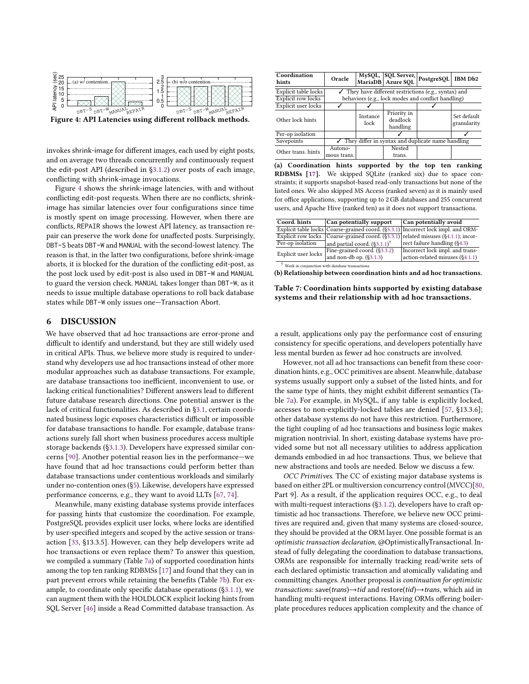<span id="page-11-0"></span>

Figure 4: API Latencies using different rollback methods.

invokes shrink-image for different images, each used by eight posts, and on average two threads concurrently and continuously request the edit-post API (described in [§3.1.2\)](#page-4-1) over posts of each image, conflicting with shrink-image invocations.

Figure [4](#page-11-0) shows the shrink-image latencies, with and without conflicting edit-post requests. When there are no conflicts, shrinkimage has similar latencies over four configurations since time is mostly spent on image processing. However, when there are conflicts, REPAIR shows the lowest API latency, as transaction repair can preserve the work done for unaffected posts. Surprisingly, DBT-S beats DBT-W and MANUAL with the second-lowest latency. The reason is that, in the latter two configurations, before shrink-image aborts, it is blocked for the duration of the conflicting edit-post, as the post lock used by edit-post is also used in DBT-W and MANUAL to guard the version check. MANUAL takes longer than DBT-W, as it needs to issue multiple database operations to roll back database states while DBT-W only issues one—Transaction Abort.

## 6 DISCUSSION

We have observed that ad hoc transactions are error-prone and difficult to identify and understand, but they are still widely used in critical APIs. Thus, we believe more study is required to understand why developers use ad hoc transactions instead of other more modular approaches such as database transactions. For example, are database transactions too inefficient, inconvenient to use, or lacking critical functionalities? Different answers lead to different future database research directions. One potential answer is the lack of critical functionalities. As described in [§3.1,](#page-3-3) certain coordinated business logic exposes characteristics difficult or impossible for database transactions to handle. For example, database transactions surely fall short when business procedures access multiple storage backends ([§3.1.3\)](#page-4-2). Developers have expressed similar concerns [\[90\]](#page-14-37). Another potential reason lies in the performance—we have found that ad hoc transactions could perform better than database transactions under contentious workloads and similarly under no-contention ones ([§5\)](#page-9-0). Likewise, developers have expressed performance concerns, e.g., they want to avoid LLTs [\[67,](#page-14-33) [74\]](#page-14-38).

Meanwhile, many existing database systems provide interfaces for passing hints that customize the coordination. For example, PostgreSQL provides explicit user locks, where locks are identified by user-specified integers and scoped by the active session or transaction [\[33,](#page-13-24) §13.3.5]. However, can they help developers write ad hoc transactions or even replace them? To answer this question, we compiled a summary (Table [7a\)](#page-11-1) of supported coordination hints among the top ten ranking RDBMSs [\[17\]](#page-13-22) and found that they can in part prevent errors while retaining the benefits (Table [7b\)](#page-11-1). For example, to coordinate only specific database operations ([§3.1.1\)](#page-3-1), we can augment them with the HOLDLOCK explicit locking hints from SQL Server [\[46\]](#page-14-39) inside a Read Committed database transaction. As

<span id="page-11-1"></span>

| Coordination<br>hints                      | Oracle                                                                                                                 |                  | MySQL,  SQL Server,  <br>MariaDB Azure SOL | PostgreSOL | IBM Db2                    |  |
|--------------------------------------------|------------------------------------------------------------------------------------------------------------------------|------------------|--------------------------------------------|------------|----------------------------|--|
| Explicit table locks<br>Explicit row locks | $\checkmark$ They have different restrictions (e.g., syntax) and<br>behaviors (e.g., lock modes and conflict handling) |                  |                                            |            |                            |  |
| Explicit user locks                        |                                                                                                                        |                  |                                            |            |                            |  |
| Other lock hints                           |                                                                                                                        | Instance<br>lock | Priority in<br>deadlock<br>handling        |            | Set default<br>granularity |  |
| Per-op isolation                           |                                                                                                                        |                  |                                            |            |                            |  |
| Savepoints                                 | $\checkmark$ They differ in syntax and duplicate name handling                                                         |                  |                                            |            |                            |  |
| Other trans, hints                         | Autono-<br>mous trans.                                                                                                 |                  | Nested<br>trans.                           |            |                            |  |

(a) Coordination hints supported by the top ten ranking RDBMSs [\[17\]](#page-13-22). We skipped SQLite (ranked six) due to space constraints; it supports snapshot-based read-only transactions but none of the listed ones. We also skipped MS Access (ranked seven) as it is mainly used for office applications, supporting up to 2 GB databases and 255 concurrent users, and Apache Hive (ranked ten) as it does not support transactions.

| Coord. hints                                    | Can potentially support               | Can potentially avoid                                                             |  |  |  |
|-------------------------------------------------|---------------------------------------|-----------------------------------------------------------------------------------|--|--|--|
|                                                 |                                       | Explicit table locks Coarse-grained coord. (§3.3.1) Incorrect lock impl. and ORM- |  |  |  |
| Explicit row locks                              |                                       | Coarse-grained coord. (§3.3.1) related misuses (§4.1.1); incor-                   |  |  |  |
| Per-op isolation                                | and partial coord. $(§3.1.1)^\dagger$ | rect failure handling $(§4.3)$                                                    |  |  |  |
| Explicit user locks                             | Fine-grained coord. (§3.3.2)          | Incorrect lock impl. and trans-                                                   |  |  |  |
|                                                 | and non-db op. $(\S3.1.3)$            | action-related misuses (§4.1.1)                                                   |  |  |  |
| Work in conjunction with database transactions. |                                       |                                                                                   |  |  |  |

(b) Relationship between coordination hints and ad hoc transactions.

Table 7: Coordination hints supported by existing database systems and their relationship with ad hoc transactions.

a result, applications only pay the performance cost of ensuring consistency for specific operations, and developers potentially have less mental burden as fewer ad hoc constructs are involved.

However, not all ad hoc transactions can benefit from these coordination hints, e.g., OCC primitives are absent. Meanwhile, database systems usually support only a subset of the listed hints, and for the same type of hints, they might exhibit different semantics (Table [7a\)](#page-11-1). For example, in MySQL, if any table is explicitly locked, accesses to non-explicitly-locked tables are denied [\[57,](#page-14-17) §13.3.6]; other database systems do not have this restriction. Furthermore, the tight coupling of ad hoc transactions and business logic makes migration nontrivial. In short, existing database systems have provided some but not all necessary utilities to address application demands embodied in ad hoc transactions. Thus, we believe that new abstractions and tools are needed. Below we discuss a few.

OCC Primitives. The CC of existing major database systems is based on either 2PL or multiversion concurrency control (MVCC)[\[80,](#page-14-40) Part 9]. As a result, if the application requires OCC, e.g., to deal with multi-request interactions ([§3.1.2\)](#page-4-1), developers have to craft optimistic ad hoc transactions. Therefore, we believe new OCC primitives are required and, given that many systems are closed-source, they should be provided at the ORM layer. One possible format is an optimistic transaction declaration, @OptimisticallyTransactional. Instead of fully delegating the coordination to database transactions, ORMs are responsible for internally tracking read/write sets of each declared optimistic transaction and atomically validating and committing changes. Another proposal is continuation for optimistic transactions: save(trans) $\rightarrow$ tid and restore(tid) $\rightarrow$ trans, which aid in handling multi-request interactions. Having ORMs offering boilerplate procedures reduces application complexity and the chance of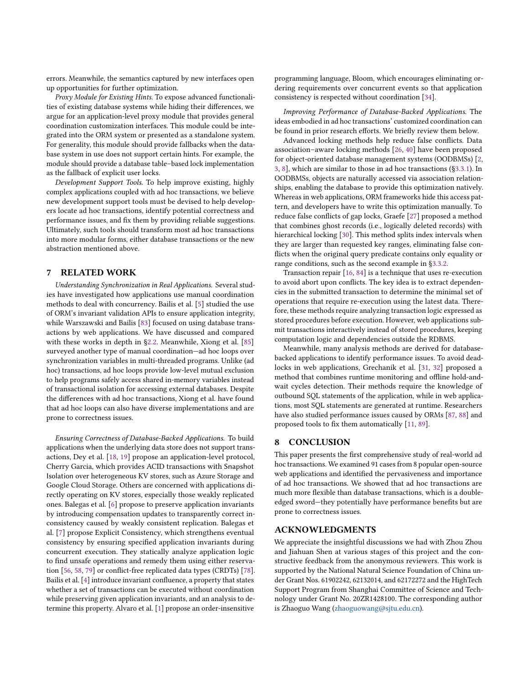errors. Meanwhile, the semantics captured by new interfaces open up opportunities for further optimization.

Proxy Module for Existing Hints. To expose advanced functionalities of existing database systems while hiding their differences, we argue for an application-level proxy module that provides general coordination customization interfaces. This module could be integrated into the ORM system or presented as a standalone system. For generality, this module should provide fallbacks when the database system in use does not support certain hints. For example, the module should provide a database table–based lock implementation as the fallback of explicit user locks.

Development Support Tools. To help improve existing, highly complex applications coupled with ad hoc transactions, we believe new development support tools must be devised to help developers locate ad hoc transactions, identify potential correctness and performance issues, and fix them by providing reliable suggestions. Ultimately, such tools should transform most ad hoc transactions into more modular forms, either database transactions or the new abstraction mentioned above.

# 7 RELATED WORK

Understanding Synchronization in Real Applications. Several studies have investigated how applications use manual coordination methods to deal with concurrency. Bailis et al. [\[5\]](#page-13-1) studied the use of ORM's invariant validation APIs to ensure application integrity, while Warszawski and Bailis [\[83\]](#page-14-8) focused on using database transactions by web applications. We have discussed and compared with these works in depth in [§2.2.](#page-1-2) Meanwhile, Xiong et al. [\[85\]](#page-14-41) surveyed another type of manual coordination—ad hoc loops over synchronization variables in multi-threaded programs. Unlike (ad hoc) transactions, ad hoc loops provide low-level mutual exclusion to help programs safely access shared in-memory variables instead of transactional isolation for accessing external databases. Despite the differences with ad hoc transactions, Xiong et al. have found that ad hoc loops can also have diverse implementations and are prone to correctness issues.

Ensuring Correctness of Database-Backed Applications. To build applications when the underlying data store does not support transactions, Dey et al. [\[18,](#page-13-26) [19\]](#page-13-27) propose an application-level protocol, Cherry Garcia, which provides ACID transactions with Snapshot Isolation over heterogeneous KV stores, such as Azure Storage and Google Cloud Storage. Others are concerned with applications directly operating on KV stores, especially those weakly replicated ones. Balegas et al. [\[6\]](#page-13-31) propose to preserve application invariants by introducing compensation updates to transparently correct inconsistency caused by weakly consistent replication. Balegas et al. [\[7\]](#page-13-32) propose Explicit Consistency, which strengthens eventual consistency by ensuring specified application invariants during concurrent execution. They statically analyze application logic to find unsafe operations and remedy them using either reservation [\[56,](#page-14-42) [58,](#page-14-43) [79\]](#page-14-44) or conflict-free replicated data types (CRDTs) [\[78\]](#page-14-45). Bailis et al. [\[4\]](#page-13-0) introduce invariant confluence, a property that states whether a set of transactions can be executed without coordination while preserving given application invariants, and an analysis to determine this property. Alvaro et al. [\[1\]](#page-13-33) propose an order-insensitive

programming language, Bloom, which encourages eliminating ordering requirements over concurrent events so that application consistency is respected without coordination [\[34\]](#page-13-34).

Improving Performance of Database-Backed Applications. The ideas embodied in ad hoc transactions' customized coordination can be found in prior research efforts. We briefly review them below.

Advanced locking methods help reduce false conflicts. Data association–aware locking methods [\[26,](#page-13-15) [40\]](#page-13-35) have been proposed for object-oriented database management systems (OODBMSs) [\[2,](#page-13-36) [3,](#page-13-37) [8\]](#page-13-38), which are similar to those in ad hoc transactions ([§3.3.1\)](#page-5-3). In OODBMSs, objects are naturally accessed via association relationships, enabling the database to provide this optimization natively. Whereas in web applications, ORM frameworks hide this access pattern, and developers have to write this optimization manually. To reduce false conflicts of gap locks, Graefe [\[27\]](#page-13-39) proposed a method that combines ghost records (i.e., logically deleted records) with hierarchical locking [\[30\]](#page-13-28). This method splits index intervals when they are larger than requested key ranges, eliminating false conflicts when the original query predicate contains only equality or range conditions, such as the second example in [§3.3.2.](#page-6-3)

Transaction repair [\[16,](#page-13-2) [84\]](#page-14-5) is a technique that uses re-execution to avoid abort upon conflicts. The key idea is to extract dependencies in the submitted transaction to determine the minimal set of operations that require re-execution using the latest data. Therefore, these methods require analyzing transaction logic expressed as stored procedures before execution. However, web applications submit transactions interactively instead of stored procedures, keeping computation logic and dependencies outside the RDBMS.

Meanwhile, many analysis methods are derived for databasebacked applications to identify performance issues. To avoid deadlocks in web applications, Grechanik et al. [\[31,](#page-13-40) [32\]](#page-13-41) proposed a method that combines runtime monitoring and offline hold-andwait cycles detection. Their methods require the knowledge of outbound SQL statements of the application, while in web applications, most SQL statements are generated at runtime. Researchers have also studied performance issues caused by ORMs [\[87,](#page-14-46) [88\]](#page-14-47) and proposed tools to fix them automatically [\[11,](#page-13-42) [89\]](#page-14-48).

# 8 CONCLUSION

This paper presents the first comprehensive study of real-world ad hoc transactions. We examined 91 cases from 8 popular open-source web applications and identified the pervasiveness and importance of ad hoc transactions. We showed that ad hoc transactions are much more flexible than database transactions, which is a doubleedged sword—they potentially have performance benefits but are prone to correctness issues.

#### ACKNOWLEDGMENTS

We appreciate the insightful discussions we had with Zhou Zhou and Jiahuan Shen at various stages of this project and the constructive feedback from the anonymous reviewers. This work is supported by the National Natural Science Foundation of China under Grant Nos. 61902242, 62132014, and 62172272 and the HighTech Support Program from Shanghai Committee of Science and Technology under Grant No. 20ZR1428100. The corresponding author is Zhaoguo Wang [\(zhaoguowang@sjtu.edu.cn\)](mailto:zhaoguowang@sjtu.edu.cn).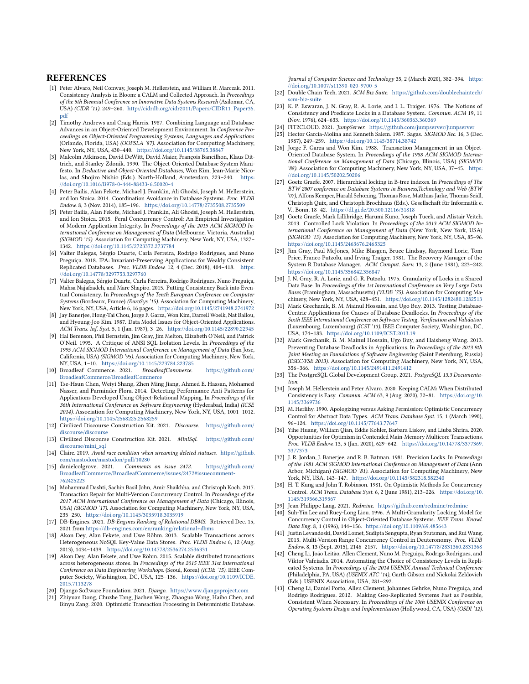## **REFERENCES**

- <span id="page-13-33"></span>[1] Peter Alvaro, Neil Conway, Joseph M. Hellerstein, and William R. Marczak. 2011. Consistency Analysis in Bloom: a CALM and Collected Approach. In Proceedings of the 5th Biennial Conference on Innovative Data Systems Research (Asilomar, CA, USA) (CIDR '11). 249–260. [http://cidrdb.org/cidr2011/Papers/CIDR11\\_Paper35.](http://cidrdb.org/cidr2011/Papers/CIDR11_Paper35.pdf) [pdf](http://cidrdb.org/cidr2011/Papers/CIDR11_Paper35.pdf)
- <span id="page-13-36"></span>[2] Timothy Andrews and Craig Harris. 1987. Combining Language and Database Advances in an Object-Oriented Development Environment. In Conference Proceedings on Object-Oriented Programming Systems, Languages and Applications (Orlando, Florida, USA) (OOPSLA '87). Association for Computing Machinery, New York, NY, USA, 430–440. <https://doi.org/10.1145/38765.38847>
- <span id="page-13-37"></span>[3] Malcolm Atkinson, David DeWitt, David Maier, François Bancilhon, Klaus Dittrich, and Stanley Zdonik. 1990. The Object-Oriented Database System Manifesto. In Deductive and Object-Oriented Databases, Won Kim, Jean-Marie Nicolas, and Shojiro Nishio (Eds.). North-Holland, Amsterdam, 223–240. [https:](https://doi.org/10.1016/B978-0-444-88433-6.50020-4) [//doi.org/10.1016/B978-0-444-88433-6.50020-4](https://doi.org/10.1016/B978-0-444-88433-6.50020-4)
- <span id="page-13-0"></span>[4] Peter Bailis, Alan Fekete, Michael J. Franklin, Ali Ghodsi, Joseph M. Hellerstein, and Ion Stoica. 2014. Coordination Avoidance in Database Systems. Proc. VLDB Endow. 8, 3 (Nov. 2014), 185–196. <https://doi.org/10.14778/2735508.2735509>
- <span id="page-13-1"></span>[5] Peter Bailis, Alan Fekete, Michael J. Franklin, Ali Ghodsi, Joseph M. Hellerstein, and Ion Stoica. 2015. Feral Concurrency Control: An Empirical Investigation of Modern Application Integrity. In Proceedings of the 2015 ACM SIGMOD International Conference on Management of Data (Melbourne, Victoria, Australia) (SIGMOD '15). Association for Computing Machinery, New York, NY, USA, 1327– 1342. <https://doi.org/10.1145/2723372.2737784>
- <span id="page-13-31"></span>[6] Valter Balegas, Sérgio Duarte, Carla Ferreira, Rodrigo Rodrigues, and Nuno Preguiça. 2018. IPA: Invariant-Preserving Applications for Weakly Consistent Replicated Databases. Proc. VLDB Endow. 12, 4 (Dec. 2018), 404–418. [https:](https://doi.org/10.14778/3297753.3297760) [//doi.org/10.14778/3297753.3297760](https://doi.org/10.14778/3297753.3297760)
- <span id="page-13-32"></span>[7] Valter Balegas, Sérgio Duarte, Carla Ferreira, Rodrigo Rodrigues, Nuno Preguiça, Mahsa Najafzadeh, and Marc Shapiro. 2015. Putting Consistency Back into Eventual Consistency. In Proceedings of the Tenth European Conference on Computer Systems (Bordeaux, France) (EuroSys '15). Association for Computing Machinery, New York, NY, USA, Article 6, 16 pages. <https://doi.org/10.1145/2741948.2741972>
- <span id="page-13-38"></span>[8] Jay Banerjee, Hong-Tai Chou, Jorge F. Garza, Won Kim, Darrell Woelk, Nat Ballou, and Hyoung-Joo Kim. 1987. Data Model Issues for Object-Oriented Applications. ACM Trans. Inf. Syst. 5, 1 (Jan. 1987), 3–26. <https://doi.org/10.1145/22890.22945>
- <span id="page-13-23"></span>[9] Hal Berenson, Phil Bernstein, Jim Gray, Jim Melton, Elizabeth O'Neil, and Patrick O'Neil. 1995. A Critique of ANSI SQL Isolation Levels. In Proceedings of the 1995 ACM SIGMOD International Conference on Management of Data (San Jose, California, USA) (SIGMOD '95). Association for Computing Machinery, New York, NY, USA, 1–10. <https://doi.org/10.1145/223784.223785>
- <span id="page-13-8"></span>[10] Broadleaf Commerce. 2021. BroadleafCommerce. [https://github.com/](https://github.com/BroadleafCommerce/BroadleafCommerce) [BroadleafCommerce/BroadleafCommerce](https://github.com/BroadleafCommerce/BroadleafCommerce)
- <span id="page-13-42"></span>[11] Tse-Hsun Chen, Weiyi Shang, Zhen Ming Jiang, Ahmed E. Hassan, Mohamed Nasser, and Parminder Flora. 2014. Detecting Performance Anti-Patterns for Applications Developed Using Object-Relational Mapping. In Proceedings of the 36th International Conference on Software Engineering (Hyderabad, India) (ICSE 2014). Association for Computing Machinery, New York, NY, USA, 1001–1012. <https://doi.org/10.1145/2568225.2568259>
- <span id="page-13-9"></span>[12] Civilized Discourse Construction Kit. 2021. Discourse. [https://github.com/](https://github.com/discourse/discourse) [discourse/discourse](https://github.com/discourse/discourse)
- <span id="page-13-30"></span>[13] Civilized Discourse Construction Kit. 2021. MiniSql. [https://github.com/](https://github.com/discourse/mini_sql) [discourse/mini\\_sql](https://github.com/discourse/mini_sql)
- <span id="page-13-29"></span>[14] Claire. 2019. Avoid race condition when streaming deleted statuses. [https://github.](https://github.com/mastodon/mastodon/pull/10280) [com/mastodon/mastodon/pull/10280](https://github.com/mastodon/mastodon/pull/10280)
- <span id="page-13-7"></span>[15] danielcolgrove. 2021. Comments on issue 2472. [https://github.com/](https://github.com/BroadleafCommerce/BroadleafCommerce/issues/2472#issuecomment-762425223) [BroadleafCommerce/BroadleafCommerce/issues/2472#issuecomment-](https://github.com/BroadleafCommerce/BroadleafCommerce/issues/2472#issuecomment-762425223)[762425223](https://github.com/BroadleafCommerce/BroadleafCommerce/issues/2472#issuecomment-762425223)
- <span id="page-13-2"></span>[16] Mohammad Dashti, Sachin Basil John, Amir Shaikhha, and Christoph Koch. 2017. Transaction Repair for Multi-Version Concurrency Control. In Proceedings of the 2017 ACM International Conference on Management of Data (Chicago, Illinois, USA) (SIGMOD '17). Association for Computing Machinery, New York, NY, USA, 235–250. <https://doi.org/10.1145/3035918.3035919>
- <span id="page-13-22"></span>[17] DB-Engines. 2021. DB-Engines Ranking of Relational DBMS. Retrieved Dec. 15, 2021 from <https://db-engines.com/en/ranking/relational+dbms>
- <span id="page-13-26"></span>[18] Akon Dey, Alan Fekete, and Uwe Röhm. 2013. Scalable Transactions across Heterogeneous NoSQL Key-Value Data Stores. Proc. VLDB Endow. 6, 12 (Aug. 2013), 1434–1439. <https://doi.org/10.14778/2536274.2536331>
- <span id="page-13-27"></span>[19] Akon Dey, Alan Fekete, and Uwe Röhm. 2015. Scalable distributed transactions across heterogeneous stores. In Proceedings of the 2015 IEEE 31st International Conference on Data Engineering Workshops. (Seoul, Korea) (ICDE '15). IEEE Computer Society, Washington, DC, USA, 125–136. [https://doi.org/10.1109/ICDE.](https://doi.org/10.1109/ICDE.2015.7113278) .<br>[2015.7113278](https://doi.org/10.1109/ICDE.2015.7113278)
- <span id="page-13-10"></span>[20] Django Software Foundation. 2021. Django. <https://www.djangoproject.com>
- <span id="page-13-3"></span>[21] Zhiyuan Dong, Chuzhe Tang, Jiachen Wang, Zhaoguo Wang, Haibo Chen, and Binyu Zang. 2020. Optimistic Transaction Processing in Deterministic Database.

Journal of Computer Science and Technology 35, 2 (March 2020), 382–394. [https:](https://doi.org/10.1007/s11390-020-9700-5) [//doi.org/10.1007/s11390-020-9700-5](https://doi.org/10.1007/s11390-020-9700-5)

- <span id="page-13-12"></span>[22] Double Chain Tech. 2021. SCM Biz Suite. [https://github.com/doublechaintech/](https://github.com/doublechaintech/scm-biz-suite) [scm-biz-suite](https://github.com/doublechaintech/scm-biz-suite)
- <span id="page-13-14"></span>[23] K. P. Eswaran, J. N. Gray, R. A. Lorie, and I. L. Traiger. 1976. The Notions of Consistency and Predicate Locks in a Database System. Commun. ACM 19, 11 (Nov. 1976), 624–633. <https://doi.org/10.1145/360363.360369>
- <span id="page-13-13"></span>[24] FIT2CLOUD. 2021. JumpServer. <https://github.com/jumpserver/jumpserver>
- <span id="page-13-4"></span>[25] Hector Garcia-Molina and Kenneth Salem. 1987. Sagas. SIGMOD Rec. 16, 3 (Dec. 1987), 249–259. <https://doi.org/10.1145/38714.38742>
- <span id="page-13-15"></span>[26] Jorge F. Garza and Won Kim. 1988. Transaction Management in an Object-Oriented Database System. In Proceedings of the 1988 ACM SIGMOD International Conference on Management of Data (Chicago, Illinois, USA) (SIGMOD '88). Association for Computing Machinery, New York, NY, USA, 37–45. [https:](https://doi.org/10.1145/50202.50206) [//doi.org/10.1145/50202.50206](https://doi.org/10.1145/50202.50206)
- <span id="page-13-39"></span>[27] Goetz Graefe. 2007. Hierarchical locking in B-tree indexes. In Proceedings of The BTW 2007 conference on Database Systems in Business,Technology and Web (BTW '07), Alfons Kemper, Harald Schöning, Thomas Rose, Matthias Jarke, Thomas Seidl, Christoph Quix, and Christoph Brochhaus (Eds.). Gesellschaft für Informatik e. V., Bonn, 18–42. <https://dl.gi.de/20.500.12116/31818>
- <span id="page-13-16"></span>[28] Goetz Graefe, Mark Lillibridge, Harumi Kuno, Joseph Tucek, and Alistair Veitch. 2013. Controlled Lock Violation. In Proceedings of the 2013 ACM SIGMOD International Conference on Management of Data (New York, New York, USA) (SIGMOD '13). Association for Computing Machinery, New York, NY, USA, 85–96. <https://doi.org/10.1145/2463676.2465325>
- <span id="page-13-25"></span>[29] Jim Gray, Paul McJones, Mike Blasgen, Bruce Lindsay, Raymond Lorie, Tom Price, Franco Putzolu, and Irving Traiger. 1981. The Recovery Manager of the System R Database Manager. ACM Comput. Surv. 13, 2 (June 1981), 223–242. <https://doi.org/10.1145/356842.356847>
- <span id="page-13-28"></span>[30] J. N. Gray, R. A. Lorie, and G. R. Putzolu. 1975. Granularity of Locks in a Shared Data Base. In Proceedings of the 1st International Conference on Very Large Data Bases (Framingham, Massachusetts) (VLDB '75). Association for Computing Machinery, New York, NY, USA, 428–451. <https://doi.org/10.1145/1282480.1282513>
- <span id="page-13-40"></span>[31] Mark Grechanik, B. M. Mainul Hossain, and Ugo Buy. 2013. Testing Database-Centric Applications for Causes of Database Deadlocks. In Proceedings of the Sixth IEEE International Conference on Software Testing, Verification and Validation (Luxembourg, Luxembourg) (ICST '13). IEEE Computer Society, Washington, DC, USA, 174–183. <https://doi.org/10.1109/ICST.2013.19>
- <span id="page-13-41"></span>[32] Mark Grechanik, B. M. Mainul Hossain, Ugo Buy, and Haisheng Wang. 2013. Preventing Database Deadlocks in Applications. In Proceedings of the 2013 9th Joint Meeting on Foundations of Software Engineering (Saint Petersburg, Russia) (ESEC/FSE 2013). Association for Computing Machinery, New York, NY, USA, 356–366. <https://doi.org/10.1145/2491411.2491412>
- <span id="page-13-24"></span>[33] The PostgreSQL Global Development Group. 2021. PostgreSQL 13.3 Documentation.
- <span id="page-13-34"></span>[34] Joseph M. Hellerstein and Peter Alvaro. 2020. Keeping CALM: When Distributed Consistency is Easy. Commun. ACM 63, 9 (Aug. 2020), 72–81. [https://doi.org/10.](https://doi.org/10.1145/3369736) [1145/3369736](https://doi.org/10.1145/3369736)
- <span id="page-13-19"></span>[35] M. Herlihy. 1990. Apologizing versus Asking Permission: Optimistic Concurrency Control for Abstract Data Types. ACM Trans. Database Syst. 15, 1 (March 1990), 96–124. <https://doi.org/10.1145/77643.77647>
- <span id="page-13-20"></span>[36] Yihe Huang, William Qian, Eddie Kohler, Barbara Liskov, and Liuba Shrira. 2020. Opportunities for Optimism in Contended Main-Memory Multicore Transactions. Proc. VLDB Endow. 13, 5 (Jan. 2020), 629–642. [https://doi.org/10.14778/3377369.](https://doi.org/10.14778/3377369.3377373) [3377373](https://doi.org/10.14778/3377369.3377373)
- <span id="page-13-17"></span>[37] J. R. Jordan, J. Banerjee, and R. B. Batman. 1981. Precision Locks. In Proceedings of the 1981 ACM SIGMOD International Conference on Management of Data (Ann Arbor, Michigan) (SIGMOD '81). Association for Computing Machinery, New York, NY, USA, 143–147. <https://doi.org/10.1145/582318.582340>
- <span id="page-13-21"></span>[38] H. T. Kung and John T. Robinson. 1981. On Optimistic Methods for Concurrency Control. ACM Trans. Database Syst. 6, 2 (June 1981), 213–226. [https://doi.org/10.](https://doi.org/10.1145/319566.319567) [1145/319566.319567](https://doi.org/10.1145/319566.319567)
- <span id="page-13-11"></span>Jean-Philippe Lang. 2021. Redmine. <https://github.com/redmine/redmine>
- <span id="page-13-35"></span>[40] Suh-Yin Lee and Ruey-Long Liou. 1996. A Multi-Granularity Locking Model for Concurrency Control in Object-Oriented Database Systems. IEEE Trans. Knowl. Data Eng. 8, 1 (1996), 144–156. <https://doi.org/10.1109/69.485643>
- <span id="page-13-18"></span>[41] Justin Levandoski, David Lomet, Sudipta Sengupta, Ryan Stutsman, and Rui Wang. 2015. Multi-Version Range Concurrency Control in Deuteronomy. Proc. VLDB Endow. 8, 13 (Sept. 2015), 2146–2157. <https://doi.org/10.14778/2831360.2831368>
- <span id="page-13-5"></span>[42] Cheng Li, João Leitão, Allen Clement, Nuno M. Preguiça, Rodrigo Rodrigues, and Viktor Vafeiadis. 2014. Automating the Choice of Consistency Levels in Replicated Systems. In Proceedings of the 2014 USENIX Annual Technical Conference (Philadelphia, PA, USA) (USENIX ATC '14), Garth Gibson and Nickolai Zeldovich (Eds.). USENIX Association, USA, 281–292.
- <span id="page-13-6"></span>[43] Cheng Li, Daniel Porto, Allen Clement, Johannes Gehrke, Nuno Preguiça, and Rodrigo Rodrigues. 2012. Making Geo-Replicated Systems Fast as Possible, Consistent When Necessary. In Proceedings of the 10th USENIX Conference on Operating Systems Design and Implementation (Hollywood, CA, USA) (OSDI '12).